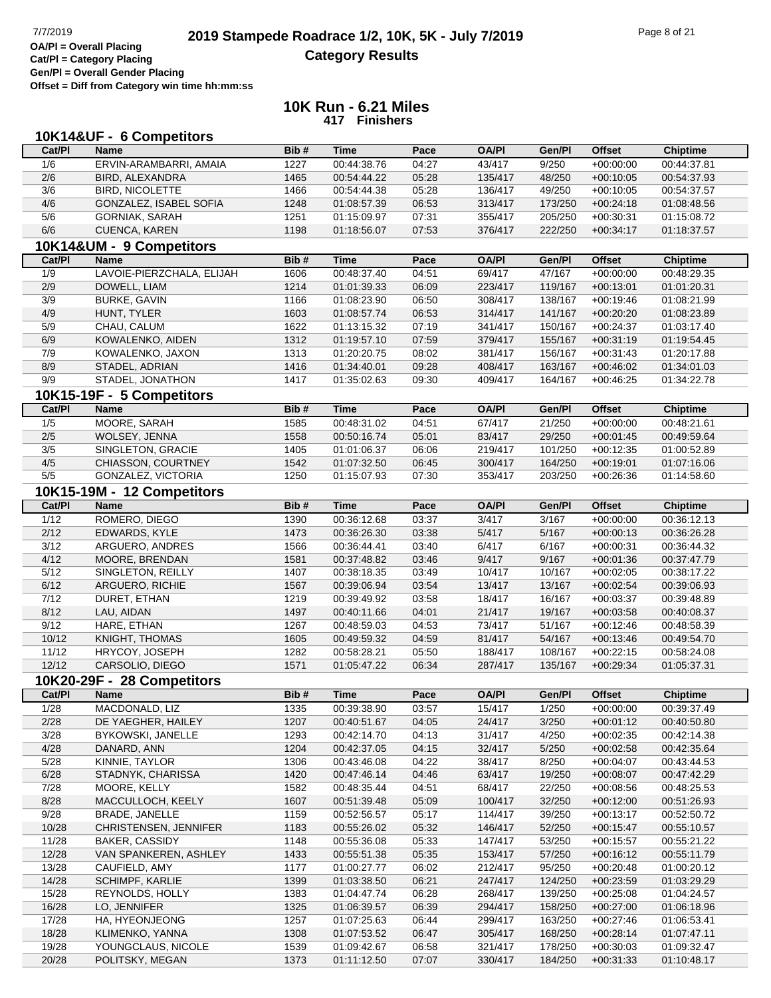# **2019 Stampede Roadrace 1/2, 10K, 5K - July 7/2019** Page 8 of 21<br> **OA/PI** = Overall Placing **2019 Stampede Roadrace 1/2, 10K, 5K - July 7/2019 Category Results**

**Cat/Pl = Category Placing Gen/Pl = Overall Gender Placing Offset = Diff from Category win time hh:mm:ss**

|              | 10K14&UF - 6 Competitors            |              |                            |                |                    |                  |                            |                            |
|--------------|-------------------------------------|--------------|----------------------------|----------------|--------------------|------------------|----------------------------|----------------------------|
| Cat/PI       | <b>Name</b>                         | Bib#         | <b>Time</b>                | Pace           | <b>OA/PI</b>       | Gen/Pl           | <b>Offset</b>              | <b>Chiptime</b>            |
| 1/6          | ERVIN-ARAMBARRI, AMAIA              | 1227         | 00:44:38.76                | 04:27          | 43/417             | 9/250            | $+00:00:00$                | 00:44:37.81                |
| 2/6          | BIRD, ALEXANDRA                     | 1465         | 00:54:44.22                | 05:28          | 135/417            | 48/250           | $+00:10:05$                | 00:54:37.93                |
| 3/6          | <b>BIRD, NICOLETTE</b>              | 1466         | 00:54:44.38                | 05:28          | 136/417            | 49/250           | $+00:10:05$                | 00:54:37.57                |
| 4/6          | GONZALEZ, ISABEL SOFIA              | 1248         | 01:08:57.39                | 06:53          | 313/417            | 173/250          | $+00:24:18$                | 01:08:48.56                |
| 5/6          | <b>GORNIAK, SARAH</b>               | 1251         | 01:15:09.97                | 07:31          | 355/417            | 205/250          | $+00:30:31$                | 01:15:08.72                |
| 6/6          | CUENCA, KAREN                       | 1198         | 01:18:56.07                | 07:53          | 376/417            | 222/250          | $+00:34:17$                | 01:18:37.57                |
|              | 10K14&UM - 9 Competitors            |              |                            |                |                    |                  |                            |                            |
| Cat/Pl       | <b>Name</b>                         | Bib#         | <b>Time</b>                | Pace           | <b>OA/PI</b>       | Gen/Pl           | <b>Offset</b>              | <b>Chiptime</b>            |
| 1/9          | LAVOIE-PIERZCHALA, ELIJAH           | 1606         | 00:48:37.40                | 04:51          | 69/417             | 47/167           | $+00:00:00$                | 00:48:29.35                |
| 2/9          | DOWELL, LIAM                        | 1214         | 01:01:39.33                | 06:09          | 223/417            | 119/167          | $+00:13:01$                | 01:01:20.31                |
| 3/9          | <b>BURKE, GAVIN</b>                 | 1166         | 01:08:23.90                | 06:50          | 308/417            | 138/167          | $+00:19:46$                | 01:08:21.99                |
| 4/9          | HUNT, TYLER                         | 1603         | 01:08:57.74                | 06:53          | 314/417            | 141/167          | $+00:20:20$                | 01:08:23.89                |
| 5/9          | CHAU, CALUM                         | 1622         | 01:13:15.32                | 07:19          | 341/417            | 150/167          | $+00:24:37$                | 01:03:17.40                |
| 6/9          | KOWALENKO, AIDEN                    | 1312         | 01:19:57.10                | 07:59          | 379/417            | 155/167          | $+00:31:19$                | 01:19:54.45                |
| 7/9          | KOWALENKO, JAXON                    | 1313         | 01:20:20.75                | 08:02          | 381/417            | 156/167          | $+00:31:43$                | 01:20:17.88                |
| 8/9          | STADEL, ADRIAN                      | 1416         | 01:34:40.01                | 09:28          | 408/417            | 163/167          | $+00:46:02$                | 01:34:01.03                |
| 9/9          | STADEL, JONATHON                    | 1417         | 01:35:02.63                | 09:30          | 409/417            | 164/167          | $+00:46:25$                | 01:34:22.78                |
|              | 10K15-19F - 5 Competitors           |              |                            |                |                    |                  |                            |                            |
| Cat/Pl       | <b>Name</b>                         | Bib#         | <b>Time</b>                | Pace           | <b>OA/PI</b>       | Gen/Pl           | <b>Offset</b>              | <b>Chiptime</b>            |
| 1/5          | MOORE, SARAH                        | 1585         | 00:48:31.02                | 04:51          | 67/417             | 21/250           | $+00:00:00$                | 00:48:21.61                |
| 2/5          | WOLSEY, JENNA                       | 1558         | 00:50:16.74                | 05:01          | 83/417             | 29/250           | $+00:01:45$                | 00:49:59.64                |
| 3/5          | SINGLETON, GRACIE                   | 1405         | 01:01:06.37                | 06:06          | 219/417            | 101/250          | $+00:12:35$                | 01:00:52.89                |
| 4/5          | CHIASSON, COURTNEY                  | 1542         | 01:07:32.50                | 06:45          | 300/417            | 164/250          | $+00:19:01$                | 01:07:16.06                |
| 5/5          | GONZALEZ, VICTORIA                  | 1250         | 01:15:07.93                | 07:30          | 353/417            | 203/250          | $+00:26:36$                | 01:14:58.60                |
|              | 10K15-19M - 12 Competitors          |              |                            |                |                    |                  |                            |                            |
| Cat/PI       | <b>Name</b>                         | Bib#         | <b>Time</b>                | Pace           | <b>OA/PI</b>       | Gen/Pl           | <b>Offset</b>              | <b>Chiptime</b>            |
| 1/12         | ROMERO, DIEGO                       | 1390         | 00:36:12.68                | 03:37          | 3/417              | 3/167            | $+00:00:00$                | 00:36:12.13                |
| 2/12         | EDWARDS, KYLE                       | 1473         | 00:36:26.30                | 03:38          | 5/417              | 5/167            | $+00:00:13$                | 00:36:26.28                |
| 3/12         | ARGUERO, ANDRES                     | 1566         | 00:36:44.41                | 03:40          | 6/417              | 6/167            | $+00:00:31$                | 00:36:44.32                |
| 4/12         | MOORE, BRENDAN                      | 1581         | 00:37:48.82                | 03:46          | 9/417              | 9/167            | $+00:01:36$                | 00:37:47.79                |
| 5/12         | SINGLETON, REILLY                   | 1407         | 00:38:18.35                | 03:49          | 10/417             | 10/167           | $+00:02:05$                | 00:38:17.22                |
| 6/12         | ARGUERO, RICHIE                     | 1567         | 00:39:06.94                | 03:54          | 13/417             | 13/167           | $+00:02:54$                | 00:39:06.93                |
| 7/12         | DURET, ETHAN                        | 1219         | 00:39:49.92                | 03:58          | 18/417             | 16/167           | $+00:03:37$                | 00:39:48.89                |
| 8/12         | LAU, AIDAN                          | 1497         | 00:40:11.66                | 04:01          | 21/417             | 19/167           | $+00:03:58$                | 00:40:08.37                |
| 9/12         | HARE, ETHAN                         | 1267         | 00:48:59.03                | 04:53          | 73/417             | 51/167           | $+00:12:46$                | 00:48:58.39                |
| 10/12        | KNIGHT, THOMAS                      | 1605         | 00:49:59.32                | 04:59          | 81/417             | 54/167           | $+00:13:46$                | 00:49:54.70                |
| 11/12        | HRYCOY, JOSEPH                      | 1282         | 00:58:28.21                | 05:50          | 188/417            | 108/167          | $+00:22:15$                | 00:58:24.08                |
| 12/12        | CARSOLIO, DIEGO                     | 1571         | 01:05:47.22                | 06:34          | 287/417            | 135/167          | $+00:29:34$                | 01:05:37.31                |
|              | 10K20-29F - 28 Competitors          |              |                            |                |                    |                  |                            |                            |
| Cat/PI       | <b>Name</b>                         | Bib#         | Time                       | Pace           | <b>OA/PI</b>       | Gen/Pl           | <b>Offset</b>              | <b>Chiptime</b>            |
| 1/28         | MACDONALD, LIZ                      | 1335         | 00:39:38.90                | 03:57          | 15/417             | 1/250            | $+00:00:00$                | 00:39:37.49                |
| 2/28         | DE YAEGHER, HAILEY                  | 1207         | 00:40:51.67                | 04:05          | 24/417             | 3/250            | $+00:01:12$                | 00:40:50.80                |
| 3/28         | BYKOWSKI, JANELLE                   | 1293         | 00:42:14.70                | 04:13          | 31/417             | 4/250            | $+00:02:35$                | 00:42:14.38                |
| 4/28         | DANARD, ANN                         | 1204         | 00:42:37.05                | 04:15          | 32/417             | 5/250            | $+00:02:58$                | 00:42:35.64                |
| $5/28$       | KINNIE, TAYLOR                      | 1306         | 00:43:46.08                | 04:22          | 38/417             | 8/250            | $+00:04:07$                | 00:43:44.53                |
| 6/28         | STADNYK, CHARISSA                   | 1420         | 00:47:46.14                | 04:46          | 63/417             | 19/250           | $+00:08:07$                | 00:47:42.29                |
| 7/28         | MOORE, KELLY                        | 1582         | 00:48:35.44                | 04:51          | 68/417             | 22/250           | $+00:08:56$                | 00:48:25.53                |
| 8/28<br>9/28 | MACCULLOCH, KEELY<br>BRADE, JANELLE | 1607<br>1159 | 00:51:39.48<br>00:52:56.57 | 05:09<br>05:17 | 100/417<br>114/417 | 32/250<br>39/250 | $+00:12:00$                | 00:51:26.93<br>00:52:50.72 |
| 10/28        | CHRISTENSEN, JENNIFER               | 1183         | 00:55:26.02                | 05:32          | 146/417            | 52/250           | $+00:13:17$<br>$+00:15:47$ | 00:55:10.57                |
| 11/28        | <b>BAKER, CASSIDY</b>               | 1148         | 00:55:36.08                | 05:33          | 147/417            | 53/250           | $+00:15:57$                | 00:55:21.22                |
| 12/28        | VAN SPANKEREN, ASHLEY               | 1433         | 00:55:51.38                | 05:35          | 153/417            | 57/250           | $+00:16:12$                | 00:55:11.79                |
| 13/28        | CAUFIELD, AMY                       | 1177         | 01:00:27.77                | 06:02          | 212/417            | 95/250           | $+00:20:48$                | 01:00:20.12                |
| 14/28        | <b>SCHIMPF, KARLIE</b>              | 1399         | 01:03:38.50                | 06:21          | 247/417            | 124/250          | $+00:23:59$                | 01:03:29.29                |
| 15/28        | REYNOLDS, HOLLY                     | 1383         | 01:04:47.74                | 06:28          | 268/417            | 139/250          | $+00:25:08$                | 01:04:24.57                |
| 16/28        | LO, JENNIFER                        | 1325         | 01:06:39.57                | 06:39          | 294/417            | 158/250          | $+00:27:00$                | 01:06:18.96                |
| 17/28        | HA, HYEONJEONG                      | 1257         | 01:07:25.63                | 06:44          | 299/417            | 163/250          | $+00:27:46$                | 01:06:53.41                |
| 18/28        | KLIMENKO, YANNA                     | 1308         | 01:07:53.52                | 06:47          | 305/417            | 168/250          | $+00:28:14$                | 01:07:47.11                |
| 19/28        | YOUNGCLAUS, NICOLE                  | 1539         | 01:09:42.67                | 06:58          | 321/417            | 178/250          | $+00:30:03$                | 01:09:32.47                |
| 20/28        | POLITSKY, MEGAN                     | 1373         | 01:11:12.50                | 07:07          | 330/417            | 184/250          | $+00:31:33$                | 01:10:48.17                |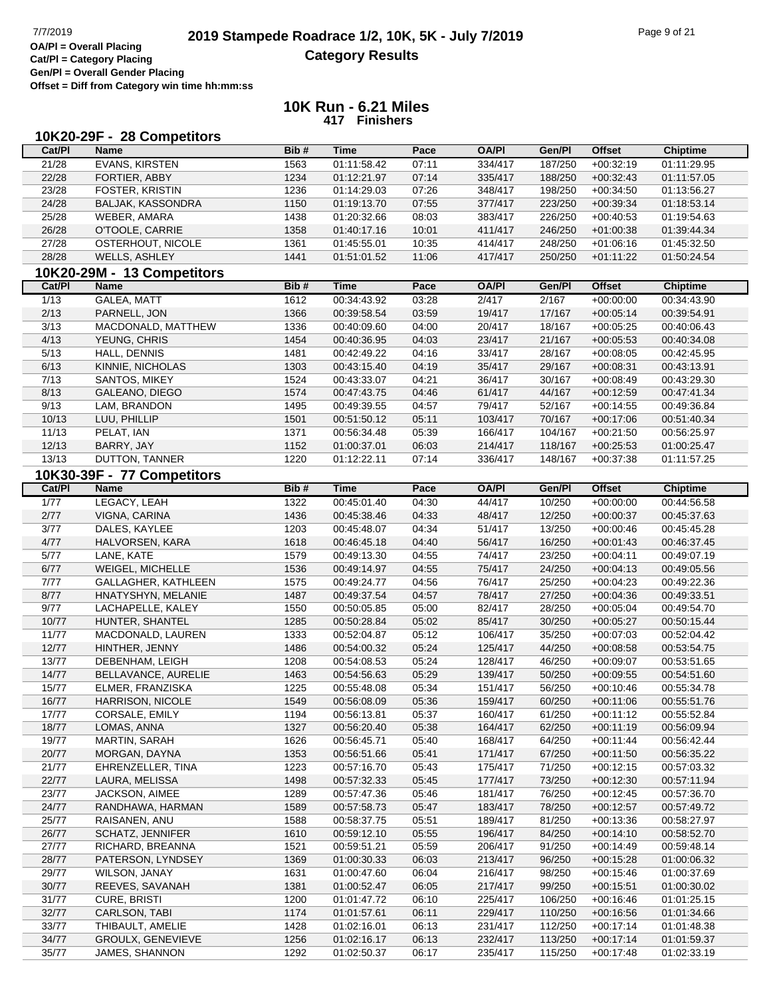## **2019 Stampede Roadrace 1/2, 10K, 5K - July 7/2019** Page 9 of 21<br> **DAPI** = Overall Placing **2019 Stampede Roadrace 12, 10K, 5K - July 7/2019 Category Results**

**Cat/Pl = Category Placing Gen/Pl = Overall Gender Placing Offset = Diff from Category win time hh:mm:ss**

| Cat/PI<br>Bib#<br><b>Time</b><br>Pace<br><b>OA/PI</b><br>Gen/Pl<br><b>Offset</b><br><b>Name</b><br><b>Chiptime</b><br>21/28<br><b>EVANS, KIRSTEN</b><br>07:11<br>1563<br>01:11:58.42<br>334/417<br>187/250<br>$+00:32:19$<br>01:11:29.95<br>22/28<br>FORTIER, ABBY<br>1234<br>01:12:21.97<br>07:14<br>335/417<br>188/250<br>$+00:32:43$<br>01:11:57.05<br>23/28<br>FOSTER, KRISTIN<br>1236<br>07:26<br>348/417<br>198/250<br>$+00:34:50$<br>01:13:56.27<br>01:14:29.03<br>24/28<br>BALJAK, KASSONDRA<br>1150<br>07:55<br>223/250<br>$+00:39:34$<br>01:19:13.70<br>377/417<br>01:18:53.14<br>25/28<br>1438<br>01:20:32.66<br>08:03<br>383/417<br>226/250<br>$+00:40:53$<br>01:19:54.63<br>WEBER, AMARA<br>26/28<br>O'TOOLE, CARRIE<br>1358<br>10:01<br>246/250<br>$+01:00:38$<br>01:39:44.34<br>01:40:17.16<br>411/417<br>27/28<br>1361<br>10:35<br>248/250<br>01:45:32.50<br>OSTERHOUT, NICOLE<br>01:45:55.01<br>414/417<br>$+01:06:16$<br>28/28<br>WELLS, ASHLEY<br>1441<br>11:06<br>250/250<br>01:51:01.52<br>417/417<br>$+01:11:22$<br>01:50:24.54<br>10K20-29M - 13 Competitors<br><b>Offset</b><br>Cat/PI<br>Bib#<br><b>Time</b><br>Pace<br><b>OA/PI</b><br>Gen/Pl<br><b>Chiptime</b><br><b>Name</b><br>1/13<br><b>GALEA, MATT</b><br>00:34:43.92<br>03:28<br>2/417<br>2/167<br>1612<br>$+00:00:00$<br>00:34:43.90<br>2/13<br>PARNELL, JON<br>1366<br>00:39:58.54<br>03:59<br>19/417<br>17/167<br>$+00:05:14$<br>00:39:54.91<br>3/13<br>MACDONALD, MATTHEW<br>1336<br>04:00<br>20/417<br>18/167<br>$+00:05:25$<br>00:40:09.60<br>00:40:06.43<br>4/13<br>YEUNG, CHRIS<br>1454<br>04:03<br>23/417<br>21/167<br>00:40:36.95<br>$+00:05:53$<br>00:40:34.08<br>5/13<br>HALL, DENNIS<br>1481<br>00:42:49.22<br>04:16<br>33/417<br>28/167<br>$+00:08:05$<br>00:42:45.95<br>6/13<br>KINNIE, NICHOLAS<br>04:19<br>29/167<br>1303<br>00:43:15.40<br>35/417<br>$+00:08:31$<br>00:43:13.91<br>7/13<br>SANTOS, MIKEY<br>1524<br>04:21<br>36/417<br>30/167<br>$+00:08:49$<br>00:43:29.30<br>00:43:33.07<br>8/13<br>GALEANO, DIEGO<br>1574<br>04:46<br>61/417<br>44/167<br>00:47:43.75<br>$+00:12:59$<br>00:47:41.34<br>9/13<br>LAM, BRANDON<br>1495<br>00:49:39.55<br>04:57<br>79/417<br>52/167<br>00:49:36.84<br>$+00:14:55$<br>10/13<br>LUU, PHILLIP<br>1501<br>00:51:50.12<br>05:11<br>103/417<br>70/167<br>$+00:17:06$<br>00:51:40.34<br>11/13<br>PELAT, IAN<br>1371<br>05:39<br>166/417<br>104/167<br>$+00:21:50$<br>00:56:34.48<br>00:56:25.97<br>12/13<br>BARRY, JAY<br>1152<br>06:03<br>01:00:37.01<br>214/417<br>118/167<br>$+00:25:53$<br>01:00:25.47<br>13/13<br>DUTTON, TANNER<br>1220<br>07:14<br>336/417<br>148/167<br>01:12:22.11<br>$+00:37:38$<br>01:11:57.25<br>10K30-39F - 77 Competitors<br>Cat/PI<br>Bib#<br><b>Time</b><br>Pace<br><b>OA/PI</b><br>Gen/Pl<br><b>Offset</b><br><b>Chiptime</b><br><b>Name</b><br>1/77<br>LEGACY, LEAH<br>04:30<br>1322<br>00:45:01.40<br>44/417<br>10/250<br>$+00:00:00$<br>00:44:56.58<br>2/77<br>1436<br>04:33<br>12/250<br>VIGNA, CARINA<br>00:45:38.46<br>48/417<br>$+00:00:37$<br>00:45:37.63<br>3/77<br>DALES, KAYLEE<br>1203<br>04:34<br>51/417<br>13/250<br>00:45:48.07<br>$+00:00:46$<br>00:45:45.28<br>4/77<br>1618<br>04:40<br>56/417<br>16/250<br>HALVORSEN, KARA<br>00:46:45.18<br>$+00:01:43$<br>00:46:37.45<br>5/77<br>LANE, KATE<br>1579<br>04:55<br>74/417<br>23/250<br>$+00:04:11$<br>00:49:13.30<br>00:49:07.19<br>6/77<br>1536<br>04:55<br>75/417<br>24/250<br>WEIGEL, MICHELLE<br>00:49:14.97<br>$+00:04:13$<br>00:49:05.56<br>7/77<br>1575<br>04:56<br>76/417<br>25/250<br>GALLAGHER, KATHLEEN<br>00:49:24.77<br>$+00:04:23$<br>00:49:22.36<br>8/77<br>1487<br>04:57<br>78/417<br>27/250<br>HNATYSHYN, MELANIE<br>00:49:37.54<br>$+00:04:36$<br>00:49:33.51<br>9/77<br>1550<br>05:00<br>82/417<br>28/250<br>00:49:54.70<br>LACHAPELLE, KALEY<br>00:50:05.85<br>$+00:05:04$<br>10/77<br>1285<br>05:02<br>30/250<br>HUNTER, SHANTEL<br>00:50:28.84<br>85/417<br>$+00:05:27$<br>00:50:15.44<br>11/77<br>1333<br>35/250<br>MACDONALD, LAUREN<br>00:52:04.87<br>05:12<br>106/417<br>$+00:07:03$<br>00:52:04.42<br>12/77<br>1486<br>05:24<br>125/417<br>44/250<br>00:53:54.75<br>HINTHER, JENNY<br>00:54:00.32<br>$+00:08:58$<br>13/77<br>1208<br>05:24<br>128/417<br>46/250<br>DEBENHAM, LEIGH<br>00:54:08.53<br>$+00:09:07$<br>00:53:51.65<br>14/77<br>1463<br>05:29<br>139/417<br>50/250<br>00:54:51.60<br>BELLAVANCE, AURELIE<br>00:54:56.63<br>$+00:09:55$<br>15/77<br>1225<br>05:34<br>151/417<br>56/250<br>ELMER, FRANZISKA<br>00:55:48.08<br>$+00:10:46$<br>00:55:34.78<br>16/77<br><b>HARRISON, NICOLE</b><br>1549<br>00:56:08.09<br>05:36<br>159/417<br>60/250<br>$+00:11:06$<br>00:55:51.76<br>17/77<br>CORSALE, EMILY<br>1194<br>05:37<br>160/417<br>61/250<br>00:56:13.81<br>$+00:11:12$<br>00:55:52.84<br>18/77<br>1327<br>05:38<br>62/250<br>LOMAS, ANNA<br>00:56:20.40<br>164/417<br>$+00:11:19$<br>00:56:09.94<br>19/77<br>MARTIN, SARAH<br>1626<br>00:56:45.71<br>05:40<br>168/417<br>64/250<br>$+00:11:44$<br>00:56:42.44<br>20/77<br>1353<br>05:41<br>171/417<br>67/250<br>MORGAN, DAYNA<br>00:56:51.66<br>$+00:11:50$<br>00:56:35.22<br>21/77<br>1223<br>175/417<br>71/250<br>EHRENZELLER, TINA<br>00:57:16.70<br>05:43<br>$+00:12:15$<br>00:57:03.32<br>22/77<br>LAURA, MELISSA<br>1498<br>00:57:32.33<br>05:45<br>177/417<br>73/250<br>$+00:12:30$<br>00:57:11.94<br>23/77<br>1289<br>JACKSON, AIMEE<br>00:57:47.36<br>05:46<br>181/417<br>76/250<br>$+00:12:45$<br>00:57:36.70<br>24/77<br>1589<br>05:47<br>183/417<br>78/250<br>RANDHAWA, HARMAN<br>00:57:58.73<br>$+00:12:57$<br>00:57:49.72<br>25/77<br>1588<br>05:51<br>81/250<br>RAISANEN, ANU<br>00:58:37.75<br>189/417<br>$+00:13:36$<br>00:58:27.97<br>26/77<br><b>SCHATZ, JENNIFER</b><br>1610<br>00:59:12.10<br>05:55<br>196/417<br>84/250<br>$+00:14:10$<br>00:58:52.70<br>27/77<br>1521<br>05:59<br>RICHARD, BREANNA<br>00:59:51.21<br>206/417<br>91/250<br>$+00:14:49$<br>00:59:48.14<br>28/77<br>1369<br>PATERSON, LYNDSEY<br>01:00:30.33<br>06:03<br>213/417<br>96/250<br>$+00:15:28$<br>01:00:06.32<br>29/77<br>WILSON, JANAY<br>1631<br>01:00:47.60<br>06:04<br>216/417<br>98/250<br>$+00:15:46$<br>01:00:37.69<br>30/77<br>REEVES, SAVANAH<br>1381<br>01:00:52.47<br>06:05<br>217/417<br>99/250<br>01:00:30.02<br>$+00:15:51$<br>31/77<br>1200<br><b>CURE, BRISTI</b><br>01:01:47.72<br>06:10<br>225/417<br>106/250<br>$+00:16:46$<br>01:01:25.15<br>32/77<br>1174<br>06:11<br>229/417<br>CARLSON, TABI<br>01:01:57.61<br>110/250<br>01:01:34.66<br>$+00:16:56$<br>33/77<br>1428<br>THIBAULT, AMELIE<br>01:02:16.01<br>06:13<br>231/417<br>112/250<br>$+00:17:14$<br>01:01:48.38<br>34/77<br>1256<br>232/417<br>113/250<br>GROULX, GENEVIEVE<br>01:02:16.17<br>06:13<br>$+00:17:14$<br>01:01:59.37 |       | 10K20-29F - 28 Competitors |      |             |       |         |         |             |             |
|----------------------------------------------------------------------------------------------------------------------------------------------------------------------------------------------------------------------------------------------------------------------------------------------------------------------------------------------------------------------------------------------------------------------------------------------------------------------------------------------------------------------------------------------------------------------------------------------------------------------------------------------------------------------------------------------------------------------------------------------------------------------------------------------------------------------------------------------------------------------------------------------------------------------------------------------------------------------------------------------------------------------------------------------------------------------------------------------------------------------------------------------------------------------------------------------------------------------------------------------------------------------------------------------------------------------------------------------------------------------------------------------------------------------------------------------------------------------------------------------------------------------------------------------------------------------------------------------------------------------------------------------------------------------------------------------------------------------------------------------------------------------------------------------------------------------------------------------------------------------------------------------------------------------------------------------------------------------------------------------------------------------------------------------------------------------------------------------------------------------------------------------------------------------------------------------------------------------------------------------------------------------------------------------------------------------------------------------------------------------------------------------------------------------------------------------------------------------------------------------------------------------------------------------------------------------------------------------------------------------------------------------------------------------------------------------------------------------------------------------------------------------------------------------------------------------------------------------------------------------------------------------------------------------------------------------------------------------------------------------------------------------------------------------------------------------------------------------------------------------------------------------------------------------------------------------------------------------------------------------------------------------------------------------------------------------------------------------------------------------------------------------------------------------------------------------------------------------------------------------------------------------------------------------------------------------------------------------------------------------------------------------------------------------------------------------------------------------------------------------------------------------------------------------------------------------------------------------------------------------------------------------------------------------------------------------------------------------------------------------------------------------------------------------------------------------------------------------------------------------------------------------------------------------------------------------------------------------------------------------------------------------------------------------------------------------------------------------------------------------------------------------------------------------------------------------------------------------------------------------------------------------------------------------------------------------------------------------------------------------------------------------------------------------------------------------------------------------------------------------------------------------------------------------------------------------------------------------------------------------------------------------------------------------------------------------------------------------------------------------------------------------------------------------------------------------------------------------------------------------------------------------------------------------------------------------------------------------------------------------------------------------------------------------------------------------------------------------------------------------------------------------------------------------------------------------------------------------------------------------------------------------------------------------------------------------------------------------------------------------------------------------------------------------------------------------------------------------------------------------------------------------------------------------------------------------------------------------------------------------------------------------------------------------------------------------------------------------------------------------------------------------------------------------------------------------------------------------------------------------------------------------------------------------------------------------------------------------------------------------------------------------------------------------------------------------------------------------------------------------------------------------------------------------------------------------------------------------------------------------------------------------------------------------------------------------------------------------------------------------------------------------------------------------------------------------------------------------------------------------------------|-------|----------------------------|------|-------------|-------|---------|---------|-------------|-------------|
|                                                                                                                                                                                                                                                                                                                                                                                                                                                                                                                                                                                                                                                                                                                                                                                                                                                                                                                                                                                                                                                                                                                                                                                                                                                                                                                                                                                                                                                                                                                                                                                                                                                                                                                                                                                                                                                                                                                                                                                                                                                                                                                                                                                                                                                                                                                                                                                                                                                                                                                                                                                                                                                                                                                                                                                                                                                                                                                                                                                                                                                                                                                                                                                                                                                                                                                                                                                                                                                                                                                                                                                                                                                                                                                                                                                                                                                                                                                                                                                                                                                                                                                                                                                                                                                                                                                                                                                                                                                                                                                                                                                                                                                                                                                                                                                                                                                                                                                                                                                                                                                                                                                                                                                                                                                                                                                                                                                                                                                                                                                                                                                                                                                                                                                                                                                                                                                                                                                                                                                                                                                                                                                                                                                                                                                                                                                                                                                                                                                                                                                                                                                                                                                                                                                                                          |       |                            |      |             |       |         |         |             |             |
|                                                                                                                                                                                                                                                                                                                                                                                                                                                                                                                                                                                                                                                                                                                                                                                                                                                                                                                                                                                                                                                                                                                                                                                                                                                                                                                                                                                                                                                                                                                                                                                                                                                                                                                                                                                                                                                                                                                                                                                                                                                                                                                                                                                                                                                                                                                                                                                                                                                                                                                                                                                                                                                                                                                                                                                                                                                                                                                                                                                                                                                                                                                                                                                                                                                                                                                                                                                                                                                                                                                                                                                                                                                                                                                                                                                                                                                                                                                                                                                                                                                                                                                                                                                                                                                                                                                                                                                                                                                                                                                                                                                                                                                                                                                                                                                                                                                                                                                                                                                                                                                                                                                                                                                                                                                                                                                                                                                                                                                                                                                                                                                                                                                                                                                                                                                                                                                                                                                                                                                                                                                                                                                                                                                                                                                                                                                                                                                                                                                                                                                                                                                                                                                                                                                                                          |       |                            |      |             |       |         |         |             |             |
|                                                                                                                                                                                                                                                                                                                                                                                                                                                                                                                                                                                                                                                                                                                                                                                                                                                                                                                                                                                                                                                                                                                                                                                                                                                                                                                                                                                                                                                                                                                                                                                                                                                                                                                                                                                                                                                                                                                                                                                                                                                                                                                                                                                                                                                                                                                                                                                                                                                                                                                                                                                                                                                                                                                                                                                                                                                                                                                                                                                                                                                                                                                                                                                                                                                                                                                                                                                                                                                                                                                                                                                                                                                                                                                                                                                                                                                                                                                                                                                                                                                                                                                                                                                                                                                                                                                                                                                                                                                                                                                                                                                                                                                                                                                                                                                                                                                                                                                                                                                                                                                                                                                                                                                                                                                                                                                                                                                                                                                                                                                                                                                                                                                                                                                                                                                                                                                                                                                                                                                                                                                                                                                                                                                                                                                                                                                                                                                                                                                                                                                                                                                                                                                                                                                                                          |       |                            |      |             |       |         |         |             |             |
|                                                                                                                                                                                                                                                                                                                                                                                                                                                                                                                                                                                                                                                                                                                                                                                                                                                                                                                                                                                                                                                                                                                                                                                                                                                                                                                                                                                                                                                                                                                                                                                                                                                                                                                                                                                                                                                                                                                                                                                                                                                                                                                                                                                                                                                                                                                                                                                                                                                                                                                                                                                                                                                                                                                                                                                                                                                                                                                                                                                                                                                                                                                                                                                                                                                                                                                                                                                                                                                                                                                                                                                                                                                                                                                                                                                                                                                                                                                                                                                                                                                                                                                                                                                                                                                                                                                                                                                                                                                                                                                                                                                                                                                                                                                                                                                                                                                                                                                                                                                                                                                                                                                                                                                                                                                                                                                                                                                                                                                                                                                                                                                                                                                                                                                                                                                                                                                                                                                                                                                                                                                                                                                                                                                                                                                                                                                                                                                                                                                                                                                                                                                                                                                                                                                                                          |       |                            |      |             |       |         |         |             |             |
|                                                                                                                                                                                                                                                                                                                                                                                                                                                                                                                                                                                                                                                                                                                                                                                                                                                                                                                                                                                                                                                                                                                                                                                                                                                                                                                                                                                                                                                                                                                                                                                                                                                                                                                                                                                                                                                                                                                                                                                                                                                                                                                                                                                                                                                                                                                                                                                                                                                                                                                                                                                                                                                                                                                                                                                                                                                                                                                                                                                                                                                                                                                                                                                                                                                                                                                                                                                                                                                                                                                                                                                                                                                                                                                                                                                                                                                                                                                                                                                                                                                                                                                                                                                                                                                                                                                                                                                                                                                                                                                                                                                                                                                                                                                                                                                                                                                                                                                                                                                                                                                                                                                                                                                                                                                                                                                                                                                                                                                                                                                                                                                                                                                                                                                                                                                                                                                                                                                                                                                                                                                                                                                                                                                                                                                                                                                                                                                                                                                                                                                                                                                                                                                                                                                                                          |       |                            |      |             |       |         |         |             |             |
|                                                                                                                                                                                                                                                                                                                                                                                                                                                                                                                                                                                                                                                                                                                                                                                                                                                                                                                                                                                                                                                                                                                                                                                                                                                                                                                                                                                                                                                                                                                                                                                                                                                                                                                                                                                                                                                                                                                                                                                                                                                                                                                                                                                                                                                                                                                                                                                                                                                                                                                                                                                                                                                                                                                                                                                                                                                                                                                                                                                                                                                                                                                                                                                                                                                                                                                                                                                                                                                                                                                                                                                                                                                                                                                                                                                                                                                                                                                                                                                                                                                                                                                                                                                                                                                                                                                                                                                                                                                                                                                                                                                                                                                                                                                                                                                                                                                                                                                                                                                                                                                                                                                                                                                                                                                                                                                                                                                                                                                                                                                                                                                                                                                                                                                                                                                                                                                                                                                                                                                                                                                                                                                                                                                                                                                                                                                                                                                                                                                                                                                                                                                                                                                                                                                                                          |       |                            |      |             |       |         |         |             |             |
|                                                                                                                                                                                                                                                                                                                                                                                                                                                                                                                                                                                                                                                                                                                                                                                                                                                                                                                                                                                                                                                                                                                                                                                                                                                                                                                                                                                                                                                                                                                                                                                                                                                                                                                                                                                                                                                                                                                                                                                                                                                                                                                                                                                                                                                                                                                                                                                                                                                                                                                                                                                                                                                                                                                                                                                                                                                                                                                                                                                                                                                                                                                                                                                                                                                                                                                                                                                                                                                                                                                                                                                                                                                                                                                                                                                                                                                                                                                                                                                                                                                                                                                                                                                                                                                                                                                                                                                                                                                                                                                                                                                                                                                                                                                                                                                                                                                                                                                                                                                                                                                                                                                                                                                                                                                                                                                                                                                                                                                                                                                                                                                                                                                                                                                                                                                                                                                                                                                                                                                                                                                                                                                                                                                                                                                                                                                                                                                                                                                                                                                                                                                                                                                                                                                                                          |       |                            |      |             |       |         |         |             |             |
|                                                                                                                                                                                                                                                                                                                                                                                                                                                                                                                                                                                                                                                                                                                                                                                                                                                                                                                                                                                                                                                                                                                                                                                                                                                                                                                                                                                                                                                                                                                                                                                                                                                                                                                                                                                                                                                                                                                                                                                                                                                                                                                                                                                                                                                                                                                                                                                                                                                                                                                                                                                                                                                                                                                                                                                                                                                                                                                                                                                                                                                                                                                                                                                                                                                                                                                                                                                                                                                                                                                                                                                                                                                                                                                                                                                                                                                                                                                                                                                                                                                                                                                                                                                                                                                                                                                                                                                                                                                                                                                                                                                                                                                                                                                                                                                                                                                                                                                                                                                                                                                                                                                                                                                                                                                                                                                                                                                                                                                                                                                                                                                                                                                                                                                                                                                                                                                                                                                                                                                                                                                                                                                                                                                                                                                                                                                                                                                                                                                                                                                                                                                                                                                                                                                                                          |       |                            |      |             |       |         |         |             |             |
|                                                                                                                                                                                                                                                                                                                                                                                                                                                                                                                                                                                                                                                                                                                                                                                                                                                                                                                                                                                                                                                                                                                                                                                                                                                                                                                                                                                                                                                                                                                                                                                                                                                                                                                                                                                                                                                                                                                                                                                                                                                                                                                                                                                                                                                                                                                                                                                                                                                                                                                                                                                                                                                                                                                                                                                                                                                                                                                                                                                                                                                                                                                                                                                                                                                                                                                                                                                                                                                                                                                                                                                                                                                                                                                                                                                                                                                                                                                                                                                                                                                                                                                                                                                                                                                                                                                                                                                                                                                                                                                                                                                                                                                                                                                                                                                                                                                                                                                                                                                                                                                                                                                                                                                                                                                                                                                                                                                                                                                                                                                                                                                                                                                                                                                                                                                                                                                                                                                                                                                                                                                                                                                                                                                                                                                                                                                                                                                                                                                                                                                                                                                                                                                                                                                                                          |       |                            |      |             |       |         |         |             |             |
|                                                                                                                                                                                                                                                                                                                                                                                                                                                                                                                                                                                                                                                                                                                                                                                                                                                                                                                                                                                                                                                                                                                                                                                                                                                                                                                                                                                                                                                                                                                                                                                                                                                                                                                                                                                                                                                                                                                                                                                                                                                                                                                                                                                                                                                                                                                                                                                                                                                                                                                                                                                                                                                                                                                                                                                                                                                                                                                                                                                                                                                                                                                                                                                                                                                                                                                                                                                                                                                                                                                                                                                                                                                                                                                                                                                                                                                                                                                                                                                                                                                                                                                                                                                                                                                                                                                                                                                                                                                                                                                                                                                                                                                                                                                                                                                                                                                                                                                                                                                                                                                                                                                                                                                                                                                                                                                                                                                                                                                                                                                                                                                                                                                                                                                                                                                                                                                                                                                                                                                                                                                                                                                                                                                                                                                                                                                                                                                                                                                                                                                                                                                                                                                                                                                                                          |       |                            |      |             |       |         |         |             |             |
|                                                                                                                                                                                                                                                                                                                                                                                                                                                                                                                                                                                                                                                                                                                                                                                                                                                                                                                                                                                                                                                                                                                                                                                                                                                                                                                                                                                                                                                                                                                                                                                                                                                                                                                                                                                                                                                                                                                                                                                                                                                                                                                                                                                                                                                                                                                                                                                                                                                                                                                                                                                                                                                                                                                                                                                                                                                                                                                                                                                                                                                                                                                                                                                                                                                                                                                                                                                                                                                                                                                                                                                                                                                                                                                                                                                                                                                                                                                                                                                                                                                                                                                                                                                                                                                                                                                                                                                                                                                                                                                                                                                                                                                                                                                                                                                                                                                                                                                                                                                                                                                                                                                                                                                                                                                                                                                                                                                                                                                                                                                                                                                                                                                                                                                                                                                                                                                                                                                                                                                                                                                                                                                                                                                                                                                                                                                                                                                                                                                                                                                                                                                                                                                                                                                                                          |       |                            |      |             |       |         |         |             |             |
|                                                                                                                                                                                                                                                                                                                                                                                                                                                                                                                                                                                                                                                                                                                                                                                                                                                                                                                                                                                                                                                                                                                                                                                                                                                                                                                                                                                                                                                                                                                                                                                                                                                                                                                                                                                                                                                                                                                                                                                                                                                                                                                                                                                                                                                                                                                                                                                                                                                                                                                                                                                                                                                                                                                                                                                                                                                                                                                                                                                                                                                                                                                                                                                                                                                                                                                                                                                                                                                                                                                                                                                                                                                                                                                                                                                                                                                                                                                                                                                                                                                                                                                                                                                                                                                                                                                                                                                                                                                                                                                                                                                                                                                                                                                                                                                                                                                                                                                                                                                                                                                                                                                                                                                                                                                                                                                                                                                                                                                                                                                                                                                                                                                                                                                                                                                                                                                                                                                                                                                                                                                                                                                                                                                                                                                                                                                                                                                                                                                                                                                                                                                                                                                                                                                                                          |       |                            |      |             |       |         |         |             |             |
|                                                                                                                                                                                                                                                                                                                                                                                                                                                                                                                                                                                                                                                                                                                                                                                                                                                                                                                                                                                                                                                                                                                                                                                                                                                                                                                                                                                                                                                                                                                                                                                                                                                                                                                                                                                                                                                                                                                                                                                                                                                                                                                                                                                                                                                                                                                                                                                                                                                                                                                                                                                                                                                                                                                                                                                                                                                                                                                                                                                                                                                                                                                                                                                                                                                                                                                                                                                                                                                                                                                                                                                                                                                                                                                                                                                                                                                                                                                                                                                                                                                                                                                                                                                                                                                                                                                                                                                                                                                                                                                                                                                                                                                                                                                                                                                                                                                                                                                                                                                                                                                                                                                                                                                                                                                                                                                                                                                                                                                                                                                                                                                                                                                                                                                                                                                                                                                                                                                                                                                                                                                                                                                                                                                                                                                                                                                                                                                                                                                                                                                                                                                                                                                                                                                                                          |       |                            |      |             |       |         |         |             |             |
|                                                                                                                                                                                                                                                                                                                                                                                                                                                                                                                                                                                                                                                                                                                                                                                                                                                                                                                                                                                                                                                                                                                                                                                                                                                                                                                                                                                                                                                                                                                                                                                                                                                                                                                                                                                                                                                                                                                                                                                                                                                                                                                                                                                                                                                                                                                                                                                                                                                                                                                                                                                                                                                                                                                                                                                                                                                                                                                                                                                                                                                                                                                                                                                                                                                                                                                                                                                                                                                                                                                                                                                                                                                                                                                                                                                                                                                                                                                                                                                                                                                                                                                                                                                                                                                                                                                                                                                                                                                                                                                                                                                                                                                                                                                                                                                                                                                                                                                                                                                                                                                                                                                                                                                                                                                                                                                                                                                                                                                                                                                                                                                                                                                                                                                                                                                                                                                                                                                                                                                                                                                                                                                                                                                                                                                                                                                                                                                                                                                                                                                                                                                                                                                                                                                                                          |       |                            |      |             |       |         |         |             |             |
|                                                                                                                                                                                                                                                                                                                                                                                                                                                                                                                                                                                                                                                                                                                                                                                                                                                                                                                                                                                                                                                                                                                                                                                                                                                                                                                                                                                                                                                                                                                                                                                                                                                                                                                                                                                                                                                                                                                                                                                                                                                                                                                                                                                                                                                                                                                                                                                                                                                                                                                                                                                                                                                                                                                                                                                                                                                                                                                                                                                                                                                                                                                                                                                                                                                                                                                                                                                                                                                                                                                                                                                                                                                                                                                                                                                                                                                                                                                                                                                                                                                                                                                                                                                                                                                                                                                                                                                                                                                                                                                                                                                                                                                                                                                                                                                                                                                                                                                                                                                                                                                                                                                                                                                                                                                                                                                                                                                                                                                                                                                                                                                                                                                                                                                                                                                                                                                                                                                                                                                                                                                                                                                                                                                                                                                                                                                                                                                                                                                                                                                                                                                                                                                                                                                                                          |       |                            |      |             |       |         |         |             |             |
|                                                                                                                                                                                                                                                                                                                                                                                                                                                                                                                                                                                                                                                                                                                                                                                                                                                                                                                                                                                                                                                                                                                                                                                                                                                                                                                                                                                                                                                                                                                                                                                                                                                                                                                                                                                                                                                                                                                                                                                                                                                                                                                                                                                                                                                                                                                                                                                                                                                                                                                                                                                                                                                                                                                                                                                                                                                                                                                                                                                                                                                                                                                                                                                                                                                                                                                                                                                                                                                                                                                                                                                                                                                                                                                                                                                                                                                                                                                                                                                                                                                                                                                                                                                                                                                                                                                                                                                                                                                                                                                                                                                                                                                                                                                                                                                                                                                                                                                                                                                                                                                                                                                                                                                                                                                                                                                                                                                                                                                                                                                                                                                                                                                                                                                                                                                                                                                                                                                                                                                                                                                                                                                                                                                                                                                                                                                                                                                                                                                                                                                                                                                                                                                                                                                                                          |       |                            |      |             |       |         |         |             |             |
|                                                                                                                                                                                                                                                                                                                                                                                                                                                                                                                                                                                                                                                                                                                                                                                                                                                                                                                                                                                                                                                                                                                                                                                                                                                                                                                                                                                                                                                                                                                                                                                                                                                                                                                                                                                                                                                                                                                                                                                                                                                                                                                                                                                                                                                                                                                                                                                                                                                                                                                                                                                                                                                                                                                                                                                                                                                                                                                                                                                                                                                                                                                                                                                                                                                                                                                                                                                                                                                                                                                                                                                                                                                                                                                                                                                                                                                                                                                                                                                                                                                                                                                                                                                                                                                                                                                                                                                                                                                                                                                                                                                                                                                                                                                                                                                                                                                                                                                                                                                                                                                                                                                                                                                                                                                                                                                                                                                                                                                                                                                                                                                                                                                                                                                                                                                                                                                                                                                                                                                                                                                                                                                                                                                                                                                                                                                                                                                                                                                                                                                                                                                                                                                                                                                                                          |       |                            |      |             |       |         |         |             |             |
|                                                                                                                                                                                                                                                                                                                                                                                                                                                                                                                                                                                                                                                                                                                                                                                                                                                                                                                                                                                                                                                                                                                                                                                                                                                                                                                                                                                                                                                                                                                                                                                                                                                                                                                                                                                                                                                                                                                                                                                                                                                                                                                                                                                                                                                                                                                                                                                                                                                                                                                                                                                                                                                                                                                                                                                                                                                                                                                                                                                                                                                                                                                                                                                                                                                                                                                                                                                                                                                                                                                                                                                                                                                                                                                                                                                                                                                                                                                                                                                                                                                                                                                                                                                                                                                                                                                                                                                                                                                                                                                                                                                                                                                                                                                                                                                                                                                                                                                                                                                                                                                                                                                                                                                                                                                                                                                                                                                                                                                                                                                                                                                                                                                                                                                                                                                                                                                                                                                                                                                                                                                                                                                                                                                                                                                                                                                                                                                                                                                                                                                                                                                                                                                                                                                                                          |       |                            |      |             |       |         |         |             |             |
|                                                                                                                                                                                                                                                                                                                                                                                                                                                                                                                                                                                                                                                                                                                                                                                                                                                                                                                                                                                                                                                                                                                                                                                                                                                                                                                                                                                                                                                                                                                                                                                                                                                                                                                                                                                                                                                                                                                                                                                                                                                                                                                                                                                                                                                                                                                                                                                                                                                                                                                                                                                                                                                                                                                                                                                                                                                                                                                                                                                                                                                                                                                                                                                                                                                                                                                                                                                                                                                                                                                                                                                                                                                                                                                                                                                                                                                                                                                                                                                                                                                                                                                                                                                                                                                                                                                                                                                                                                                                                                                                                                                                                                                                                                                                                                                                                                                                                                                                                                                                                                                                                                                                                                                                                                                                                                                                                                                                                                                                                                                                                                                                                                                                                                                                                                                                                                                                                                                                                                                                                                                                                                                                                                                                                                                                                                                                                                                                                                                                                                                                                                                                                                                                                                                                                          |       |                            |      |             |       |         |         |             |             |
|                                                                                                                                                                                                                                                                                                                                                                                                                                                                                                                                                                                                                                                                                                                                                                                                                                                                                                                                                                                                                                                                                                                                                                                                                                                                                                                                                                                                                                                                                                                                                                                                                                                                                                                                                                                                                                                                                                                                                                                                                                                                                                                                                                                                                                                                                                                                                                                                                                                                                                                                                                                                                                                                                                                                                                                                                                                                                                                                                                                                                                                                                                                                                                                                                                                                                                                                                                                                                                                                                                                                                                                                                                                                                                                                                                                                                                                                                                                                                                                                                                                                                                                                                                                                                                                                                                                                                                                                                                                                                                                                                                                                                                                                                                                                                                                                                                                                                                                                                                                                                                                                                                                                                                                                                                                                                                                                                                                                                                                                                                                                                                                                                                                                                                                                                                                                                                                                                                                                                                                                                                                                                                                                                                                                                                                                                                                                                                                                                                                                                                                                                                                                                                                                                                                                                          |       |                            |      |             |       |         |         |             |             |
|                                                                                                                                                                                                                                                                                                                                                                                                                                                                                                                                                                                                                                                                                                                                                                                                                                                                                                                                                                                                                                                                                                                                                                                                                                                                                                                                                                                                                                                                                                                                                                                                                                                                                                                                                                                                                                                                                                                                                                                                                                                                                                                                                                                                                                                                                                                                                                                                                                                                                                                                                                                                                                                                                                                                                                                                                                                                                                                                                                                                                                                                                                                                                                                                                                                                                                                                                                                                                                                                                                                                                                                                                                                                                                                                                                                                                                                                                                                                                                                                                                                                                                                                                                                                                                                                                                                                                                                                                                                                                                                                                                                                                                                                                                                                                                                                                                                                                                                                                                                                                                                                                                                                                                                                                                                                                                                                                                                                                                                                                                                                                                                                                                                                                                                                                                                                                                                                                                                                                                                                                                                                                                                                                                                                                                                                                                                                                                                                                                                                                                                                                                                                                                                                                                                                                          |       |                            |      |             |       |         |         |             |             |
|                                                                                                                                                                                                                                                                                                                                                                                                                                                                                                                                                                                                                                                                                                                                                                                                                                                                                                                                                                                                                                                                                                                                                                                                                                                                                                                                                                                                                                                                                                                                                                                                                                                                                                                                                                                                                                                                                                                                                                                                                                                                                                                                                                                                                                                                                                                                                                                                                                                                                                                                                                                                                                                                                                                                                                                                                                                                                                                                                                                                                                                                                                                                                                                                                                                                                                                                                                                                                                                                                                                                                                                                                                                                                                                                                                                                                                                                                                                                                                                                                                                                                                                                                                                                                                                                                                                                                                                                                                                                                                                                                                                                                                                                                                                                                                                                                                                                                                                                                                                                                                                                                                                                                                                                                                                                                                                                                                                                                                                                                                                                                                                                                                                                                                                                                                                                                                                                                                                                                                                                                                                                                                                                                                                                                                                                                                                                                                                                                                                                                                                                                                                                                                                                                                                                                          |       |                            |      |             |       |         |         |             |             |
|                                                                                                                                                                                                                                                                                                                                                                                                                                                                                                                                                                                                                                                                                                                                                                                                                                                                                                                                                                                                                                                                                                                                                                                                                                                                                                                                                                                                                                                                                                                                                                                                                                                                                                                                                                                                                                                                                                                                                                                                                                                                                                                                                                                                                                                                                                                                                                                                                                                                                                                                                                                                                                                                                                                                                                                                                                                                                                                                                                                                                                                                                                                                                                                                                                                                                                                                                                                                                                                                                                                                                                                                                                                                                                                                                                                                                                                                                                                                                                                                                                                                                                                                                                                                                                                                                                                                                                                                                                                                                                                                                                                                                                                                                                                                                                                                                                                                                                                                                                                                                                                                                                                                                                                                                                                                                                                                                                                                                                                                                                                                                                                                                                                                                                                                                                                                                                                                                                                                                                                                                                                                                                                                                                                                                                                                                                                                                                                                                                                                                                                                                                                                                                                                                                                                                          |       |                            |      |             |       |         |         |             |             |
|                                                                                                                                                                                                                                                                                                                                                                                                                                                                                                                                                                                                                                                                                                                                                                                                                                                                                                                                                                                                                                                                                                                                                                                                                                                                                                                                                                                                                                                                                                                                                                                                                                                                                                                                                                                                                                                                                                                                                                                                                                                                                                                                                                                                                                                                                                                                                                                                                                                                                                                                                                                                                                                                                                                                                                                                                                                                                                                                                                                                                                                                                                                                                                                                                                                                                                                                                                                                                                                                                                                                                                                                                                                                                                                                                                                                                                                                                                                                                                                                                                                                                                                                                                                                                                                                                                                                                                                                                                                                                                                                                                                                                                                                                                                                                                                                                                                                                                                                                                                                                                                                                                                                                                                                                                                                                                                                                                                                                                                                                                                                                                                                                                                                                                                                                                                                                                                                                                                                                                                                                                                                                                                                                                                                                                                                                                                                                                                                                                                                                                                                                                                                                                                                                                                                                          |       |                            |      |             |       |         |         |             |             |
|                                                                                                                                                                                                                                                                                                                                                                                                                                                                                                                                                                                                                                                                                                                                                                                                                                                                                                                                                                                                                                                                                                                                                                                                                                                                                                                                                                                                                                                                                                                                                                                                                                                                                                                                                                                                                                                                                                                                                                                                                                                                                                                                                                                                                                                                                                                                                                                                                                                                                                                                                                                                                                                                                                                                                                                                                                                                                                                                                                                                                                                                                                                                                                                                                                                                                                                                                                                                                                                                                                                                                                                                                                                                                                                                                                                                                                                                                                                                                                                                                                                                                                                                                                                                                                                                                                                                                                                                                                                                                                                                                                                                                                                                                                                                                                                                                                                                                                                                                                                                                                                                                                                                                                                                                                                                                                                                                                                                                                                                                                                                                                                                                                                                                                                                                                                                                                                                                                                                                                                                                                                                                                                                                                                                                                                                                                                                                                                                                                                                                                                                                                                                                                                                                                                                                          |       |                            |      |             |       |         |         |             |             |
|                                                                                                                                                                                                                                                                                                                                                                                                                                                                                                                                                                                                                                                                                                                                                                                                                                                                                                                                                                                                                                                                                                                                                                                                                                                                                                                                                                                                                                                                                                                                                                                                                                                                                                                                                                                                                                                                                                                                                                                                                                                                                                                                                                                                                                                                                                                                                                                                                                                                                                                                                                                                                                                                                                                                                                                                                                                                                                                                                                                                                                                                                                                                                                                                                                                                                                                                                                                                                                                                                                                                                                                                                                                                                                                                                                                                                                                                                                                                                                                                                                                                                                                                                                                                                                                                                                                                                                                                                                                                                                                                                                                                                                                                                                                                                                                                                                                                                                                                                                                                                                                                                                                                                                                                                                                                                                                                                                                                                                                                                                                                                                                                                                                                                                                                                                                                                                                                                                                                                                                                                                                                                                                                                                                                                                                                                                                                                                                                                                                                                                                                                                                                                                                                                                                                                          |       |                            |      |             |       |         |         |             |             |
|                                                                                                                                                                                                                                                                                                                                                                                                                                                                                                                                                                                                                                                                                                                                                                                                                                                                                                                                                                                                                                                                                                                                                                                                                                                                                                                                                                                                                                                                                                                                                                                                                                                                                                                                                                                                                                                                                                                                                                                                                                                                                                                                                                                                                                                                                                                                                                                                                                                                                                                                                                                                                                                                                                                                                                                                                                                                                                                                                                                                                                                                                                                                                                                                                                                                                                                                                                                                                                                                                                                                                                                                                                                                                                                                                                                                                                                                                                                                                                                                                                                                                                                                                                                                                                                                                                                                                                                                                                                                                                                                                                                                                                                                                                                                                                                                                                                                                                                                                                                                                                                                                                                                                                                                                                                                                                                                                                                                                                                                                                                                                                                                                                                                                                                                                                                                                                                                                                                                                                                                                                                                                                                                                                                                                                                                                                                                                                                                                                                                                                                                                                                                                                                                                                                                                          |       |                            |      |             |       |         |         |             |             |
|                                                                                                                                                                                                                                                                                                                                                                                                                                                                                                                                                                                                                                                                                                                                                                                                                                                                                                                                                                                                                                                                                                                                                                                                                                                                                                                                                                                                                                                                                                                                                                                                                                                                                                                                                                                                                                                                                                                                                                                                                                                                                                                                                                                                                                                                                                                                                                                                                                                                                                                                                                                                                                                                                                                                                                                                                                                                                                                                                                                                                                                                                                                                                                                                                                                                                                                                                                                                                                                                                                                                                                                                                                                                                                                                                                                                                                                                                                                                                                                                                                                                                                                                                                                                                                                                                                                                                                                                                                                                                                                                                                                                                                                                                                                                                                                                                                                                                                                                                                                                                                                                                                                                                                                                                                                                                                                                                                                                                                                                                                                                                                                                                                                                                                                                                                                                                                                                                                                                                                                                                                                                                                                                                                                                                                                                                                                                                                                                                                                                                                                                                                                                                                                                                                                                                          |       |                            |      |             |       |         |         |             |             |
|                                                                                                                                                                                                                                                                                                                                                                                                                                                                                                                                                                                                                                                                                                                                                                                                                                                                                                                                                                                                                                                                                                                                                                                                                                                                                                                                                                                                                                                                                                                                                                                                                                                                                                                                                                                                                                                                                                                                                                                                                                                                                                                                                                                                                                                                                                                                                                                                                                                                                                                                                                                                                                                                                                                                                                                                                                                                                                                                                                                                                                                                                                                                                                                                                                                                                                                                                                                                                                                                                                                                                                                                                                                                                                                                                                                                                                                                                                                                                                                                                                                                                                                                                                                                                                                                                                                                                                                                                                                                                                                                                                                                                                                                                                                                                                                                                                                                                                                                                                                                                                                                                                                                                                                                                                                                                                                                                                                                                                                                                                                                                                                                                                                                                                                                                                                                                                                                                                                                                                                                                                                                                                                                                                                                                                                                                                                                                                                                                                                                                                                                                                                                                                                                                                                                                          |       |                            |      |             |       |         |         |             |             |
|                                                                                                                                                                                                                                                                                                                                                                                                                                                                                                                                                                                                                                                                                                                                                                                                                                                                                                                                                                                                                                                                                                                                                                                                                                                                                                                                                                                                                                                                                                                                                                                                                                                                                                                                                                                                                                                                                                                                                                                                                                                                                                                                                                                                                                                                                                                                                                                                                                                                                                                                                                                                                                                                                                                                                                                                                                                                                                                                                                                                                                                                                                                                                                                                                                                                                                                                                                                                                                                                                                                                                                                                                                                                                                                                                                                                                                                                                                                                                                                                                                                                                                                                                                                                                                                                                                                                                                                                                                                                                                                                                                                                                                                                                                                                                                                                                                                                                                                                                                                                                                                                                                                                                                                                                                                                                                                                                                                                                                                                                                                                                                                                                                                                                                                                                                                                                                                                                                                                                                                                                                                                                                                                                                                                                                                                                                                                                                                                                                                                                                                                                                                                                                                                                                                                                          |       |                            |      |             |       |         |         |             |             |
|                                                                                                                                                                                                                                                                                                                                                                                                                                                                                                                                                                                                                                                                                                                                                                                                                                                                                                                                                                                                                                                                                                                                                                                                                                                                                                                                                                                                                                                                                                                                                                                                                                                                                                                                                                                                                                                                                                                                                                                                                                                                                                                                                                                                                                                                                                                                                                                                                                                                                                                                                                                                                                                                                                                                                                                                                                                                                                                                                                                                                                                                                                                                                                                                                                                                                                                                                                                                                                                                                                                                                                                                                                                                                                                                                                                                                                                                                                                                                                                                                                                                                                                                                                                                                                                                                                                                                                                                                                                                                                                                                                                                                                                                                                                                                                                                                                                                                                                                                                                                                                                                                                                                                                                                                                                                                                                                                                                                                                                                                                                                                                                                                                                                                                                                                                                                                                                                                                                                                                                                                                                                                                                                                                                                                                                                                                                                                                                                                                                                                                                                                                                                                                                                                                                                                          |       |                            |      |             |       |         |         |             |             |
|                                                                                                                                                                                                                                                                                                                                                                                                                                                                                                                                                                                                                                                                                                                                                                                                                                                                                                                                                                                                                                                                                                                                                                                                                                                                                                                                                                                                                                                                                                                                                                                                                                                                                                                                                                                                                                                                                                                                                                                                                                                                                                                                                                                                                                                                                                                                                                                                                                                                                                                                                                                                                                                                                                                                                                                                                                                                                                                                                                                                                                                                                                                                                                                                                                                                                                                                                                                                                                                                                                                                                                                                                                                                                                                                                                                                                                                                                                                                                                                                                                                                                                                                                                                                                                                                                                                                                                                                                                                                                                                                                                                                                                                                                                                                                                                                                                                                                                                                                                                                                                                                                                                                                                                                                                                                                                                                                                                                                                                                                                                                                                                                                                                                                                                                                                                                                                                                                                                                                                                                                                                                                                                                                                                                                                                                                                                                                                                                                                                                                                                                                                                                                                                                                                                                                          |       |                            |      |             |       |         |         |             |             |
|                                                                                                                                                                                                                                                                                                                                                                                                                                                                                                                                                                                                                                                                                                                                                                                                                                                                                                                                                                                                                                                                                                                                                                                                                                                                                                                                                                                                                                                                                                                                                                                                                                                                                                                                                                                                                                                                                                                                                                                                                                                                                                                                                                                                                                                                                                                                                                                                                                                                                                                                                                                                                                                                                                                                                                                                                                                                                                                                                                                                                                                                                                                                                                                                                                                                                                                                                                                                                                                                                                                                                                                                                                                                                                                                                                                                                                                                                                                                                                                                                                                                                                                                                                                                                                                                                                                                                                                                                                                                                                                                                                                                                                                                                                                                                                                                                                                                                                                                                                                                                                                                                                                                                                                                                                                                                                                                                                                                                                                                                                                                                                                                                                                                                                                                                                                                                                                                                                                                                                                                                                                                                                                                                                                                                                                                                                                                                                                                                                                                                                                                                                                                                                                                                                                                                          |       |                            |      |             |       |         |         |             |             |
|                                                                                                                                                                                                                                                                                                                                                                                                                                                                                                                                                                                                                                                                                                                                                                                                                                                                                                                                                                                                                                                                                                                                                                                                                                                                                                                                                                                                                                                                                                                                                                                                                                                                                                                                                                                                                                                                                                                                                                                                                                                                                                                                                                                                                                                                                                                                                                                                                                                                                                                                                                                                                                                                                                                                                                                                                                                                                                                                                                                                                                                                                                                                                                                                                                                                                                                                                                                                                                                                                                                                                                                                                                                                                                                                                                                                                                                                                                                                                                                                                                                                                                                                                                                                                                                                                                                                                                                                                                                                                                                                                                                                                                                                                                                                                                                                                                                                                                                                                                                                                                                                                                                                                                                                                                                                                                                                                                                                                                                                                                                                                                                                                                                                                                                                                                                                                                                                                                                                                                                                                                                                                                                                                                                                                                                                                                                                                                                                                                                                                                                                                                                                                                                                                                                                                          |       |                            |      |             |       |         |         |             |             |
|                                                                                                                                                                                                                                                                                                                                                                                                                                                                                                                                                                                                                                                                                                                                                                                                                                                                                                                                                                                                                                                                                                                                                                                                                                                                                                                                                                                                                                                                                                                                                                                                                                                                                                                                                                                                                                                                                                                                                                                                                                                                                                                                                                                                                                                                                                                                                                                                                                                                                                                                                                                                                                                                                                                                                                                                                                                                                                                                                                                                                                                                                                                                                                                                                                                                                                                                                                                                                                                                                                                                                                                                                                                                                                                                                                                                                                                                                                                                                                                                                                                                                                                                                                                                                                                                                                                                                                                                                                                                                                                                                                                                                                                                                                                                                                                                                                                                                                                                                                                                                                                                                                                                                                                                                                                                                                                                                                                                                                                                                                                                                                                                                                                                                                                                                                                                                                                                                                                                                                                                                                                                                                                                                                                                                                                                                                                                                                                                                                                                                                                                                                                                                                                                                                                                                          |       |                            |      |             |       |         |         |             |             |
|                                                                                                                                                                                                                                                                                                                                                                                                                                                                                                                                                                                                                                                                                                                                                                                                                                                                                                                                                                                                                                                                                                                                                                                                                                                                                                                                                                                                                                                                                                                                                                                                                                                                                                                                                                                                                                                                                                                                                                                                                                                                                                                                                                                                                                                                                                                                                                                                                                                                                                                                                                                                                                                                                                                                                                                                                                                                                                                                                                                                                                                                                                                                                                                                                                                                                                                                                                                                                                                                                                                                                                                                                                                                                                                                                                                                                                                                                                                                                                                                                                                                                                                                                                                                                                                                                                                                                                                                                                                                                                                                                                                                                                                                                                                                                                                                                                                                                                                                                                                                                                                                                                                                                                                                                                                                                                                                                                                                                                                                                                                                                                                                                                                                                                                                                                                                                                                                                                                                                                                                                                                                                                                                                                                                                                                                                                                                                                                                                                                                                                                                                                                                                                                                                                                                                          |       |                            |      |             |       |         |         |             |             |
|                                                                                                                                                                                                                                                                                                                                                                                                                                                                                                                                                                                                                                                                                                                                                                                                                                                                                                                                                                                                                                                                                                                                                                                                                                                                                                                                                                                                                                                                                                                                                                                                                                                                                                                                                                                                                                                                                                                                                                                                                                                                                                                                                                                                                                                                                                                                                                                                                                                                                                                                                                                                                                                                                                                                                                                                                                                                                                                                                                                                                                                                                                                                                                                                                                                                                                                                                                                                                                                                                                                                                                                                                                                                                                                                                                                                                                                                                                                                                                                                                                                                                                                                                                                                                                                                                                                                                                                                                                                                                                                                                                                                                                                                                                                                                                                                                                                                                                                                                                                                                                                                                                                                                                                                                                                                                                                                                                                                                                                                                                                                                                                                                                                                                                                                                                                                                                                                                                                                                                                                                                                                                                                                                                                                                                                                                                                                                                                                                                                                                                                                                                                                                                                                                                                                                          |       |                            |      |             |       |         |         |             |             |
|                                                                                                                                                                                                                                                                                                                                                                                                                                                                                                                                                                                                                                                                                                                                                                                                                                                                                                                                                                                                                                                                                                                                                                                                                                                                                                                                                                                                                                                                                                                                                                                                                                                                                                                                                                                                                                                                                                                                                                                                                                                                                                                                                                                                                                                                                                                                                                                                                                                                                                                                                                                                                                                                                                                                                                                                                                                                                                                                                                                                                                                                                                                                                                                                                                                                                                                                                                                                                                                                                                                                                                                                                                                                                                                                                                                                                                                                                                                                                                                                                                                                                                                                                                                                                                                                                                                                                                                                                                                                                                                                                                                                                                                                                                                                                                                                                                                                                                                                                                                                                                                                                                                                                                                                                                                                                                                                                                                                                                                                                                                                                                                                                                                                                                                                                                                                                                                                                                                                                                                                                                                                                                                                                                                                                                                                                                                                                                                                                                                                                                                                                                                                                                                                                                                                                          |       |                            |      |             |       |         |         |             |             |
|                                                                                                                                                                                                                                                                                                                                                                                                                                                                                                                                                                                                                                                                                                                                                                                                                                                                                                                                                                                                                                                                                                                                                                                                                                                                                                                                                                                                                                                                                                                                                                                                                                                                                                                                                                                                                                                                                                                                                                                                                                                                                                                                                                                                                                                                                                                                                                                                                                                                                                                                                                                                                                                                                                                                                                                                                                                                                                                                                                                                                                                                                                                                                                                                                                                                                                                                                                                                                                                                                                                                                                                                                                                                                                                                                                                                                                                                                                                                                                                                                                                                                                                                                                                                                                                                                                                                                                                                                                                                                                                                                                                                                                                                                                                                                                                                                                                                                                                                                                                                                                                                                                                                                                                                                                                                                                                                                                                                                                                                                                                                                                                                                                                                                                                                                                                                                                                                                                                                                                                                                                                                                                                                                                                                                                                                                                                                                                                                                                                                                                                                                                                                                                                                                                                                                          |       |                            |      |             |       |         |         |             |             |
|                                                                                                                                                                                                                                                                                                                                                                                                                                                                                                                                                                                                                                                                                                                                                                                                                                                                                                                                                                                                                                                                                                                                                                                                                                                                                                                                                                                                                                                                                                                                                                                                                                                                                                                                                                                                                                                                                                                                                                                                                                                                                                                                                                                                                                                                                                                                                                                                                                                                                                                                                                                                                                                                                                                                                                                                                                                                                                                                                                                                                                                                                                                                                                                                                                                                                                                                                                                                                                                                                                                                                                                                                                                                                                                                                                                                                                                                                                                                                                                                                                                                                                                                                                                                                                                                                                                                                                                                                                                                                                                                                                                                                                                                                                                                                                                                                                                                                                                                                                                                                                                                                                                                                                                                                                                                                                                                                                                                                                                                                                                                                                                                                                                                                                                                                                                                                                                                                                                                                                                                                                                                                                                                                                                                                                                                                                                                                                                                                                                                                                                                                                                                                                                                                                                                                          |       |                            |      |             |       |         |         |             |             |
|                                                                                                                                                                                                                                                                                                                                                                                                                                                                                                                                                                                                                                                                                                                                                                                                                                                                                                                                                                                                                                                                                                                                                                                                                                                                                                                                                                                                                                                                                                                                                                                                                                                                                                                                                                                                                                                                                                                                                                                                                                                                                                                                                                                                                                                                                                                                                                                                                                                                                                                                                                                                                                                                                                                                                                                                                                                                                                                                                                                                                                                                                                                                                                                                                                                                                                                                                                                                                                                                                                                                                                                                                                                                                                                                                                                                                                                                                                                                                                                                                                                                                                                                                                                                                                                                                                                                                                                                                                                                                                                                                                                                                                                                                                                                                                                                                                                                                                                                                                                                                                                                                                                                                                                                                                                                                                                                                                                                                                                                                                                                                                                                                                                                                                                                                                                                                                                                                                                                                                                                                                                                                                                                                                                                                                                                                                                                                                                                                                                                                                                                                                                                                                                                                                                                                          |       |                            |      |             |       |         |         |             |             |
|                                                                                                                                                                                                                                                                                                                                                                                                                                                                                                                                                                                                                                                                                                                                                                                                                                                                                                                                                                                                                                                                                                                                                                                                                                                                                                                                                                                                                                                                                                                                                                                                                                                                                                                                                                                                                                                                                                                                                                                                                                                                                                                                                                                                                                                                                                                                                                                                                                                                                                                                                                                                                                                                                                                                                                                                                                                                                                                                                                                                                                                                                                                                                                                                                                                                                                                                                                                                                                                                                                                                                                                                                                                                                                                                                                                                                                                                                                                                                                                                                                                                                                                                                                                                                                                                                                                                                                                                                                                                                                                                                                                                                                                                                                                                                                                                                                                                                                                                                                                                                                                                                                                                                                                                                                                                                                                                                                                                                                                                                                                                                                                                                                                                                                                                                                                                                                                                                                                                                                                                                                                                                                                                                                                                                                                                                                                                                                                                                                                                                                                                                                                                                                                                                                                                                          |       |                            |      |             |       |         |         |             |             |
|                                                                                                                                                                                                                                                                                                                                                                                                                                                                                                                                                                                                                                                                                                                                                                                                                                                                                                                                                                                                                                                                                                                                                                                                                                                                                                                                                                                                                                                                                                                                                                                                                                                                                                                                                                                                                                                                                                                                                                                                                                                                                                                                                                                                                                                                                                                                                                                                                                                                                                                                                                                                                                                                                                                                                                                                                                                                                                                                                                                                                                                                                                                                                                                                                                                                                                                                                                                                                                                                                                                                                                                                                                                                                                                                                                                                                                                                                                                                                                                                                                                                                                                                                                                                                                                                                                                                                                                                                                                                                                                                                                                                                                                                                                                                                                                                                                                                                                                                                                                                                                                                                                                                                                                                                                                                                                                                                                                                                                                                                                                                                                                                                                                                                                                                                                                                                                                                                                                                                                                                                                                                                                                                                                                                                                                                                                                                                                                                                                                                                                                                                                                                                                                                                                                                                          |       |                            |      |             |       |         |         |             |             |
|                                                                                                                                                                                                                                                                                                                                                                                                                                                                                                                                                                                                                                                                                                                                                                                                                                                                                                                                                                                                                                                                                                                                                                                                                                                                                                                                                                                                                                                                                                                                                                                                                                                                                                                                                                                                                                                                                                                                                                                                                                                                                                                                                                                                                                                                                                                                                                                                                                                                                                                                                                                                                                                                                                                                                                                                                                                                                                                                                                                                                                                                                                                                                                                                                                                                                                                                                                                                                                                                                                                                                                                                                                                                                                                                                                                                                                                                                                                                                                                                                                                                                                                                                                                                                                                                                                                                                                                                                                                                                                                                                                                                                                                                                                                                                                                                                                                                                                                                                                                                                                                                                                                                                                                                                                                                                                                                                                                                                                                                                                                                                                                                                                                                                                                                                                                                                                                                                                                                                                                                                                                                                                                                                                                                                                                                                                                                                                                                                                                                                                                                                                                                                                                                                                                                                          |       |                            |      |             |       |         |         |             |             |
|                                                                                                                                                                                                                                                                                                                                                                                                                                                                                                                                                                                                                                                                                                                                                                                                                                                                                                                                                                                                                                                                                                                                                                                                                                                                                                                                                                                                                                                                                                                                                                                                                                                                                                                                                                                                                                                                                                                                                                                                                                                                                                                                                                                                                                                                                                                                                                                                                                                                                                                                                                                                                                                                                                                                                                                                                                                                                                                                                                                                                                                                                                                                                                                                                                                                                                                                                                                                                                                                                                                                                                                                                                                                                                                                                                                                                                                                                                                                                                                                                                                                                                                                                                                                                                                                                                                                                                                                                                                                                                                                                                                                                                                                                                                                                                                                                                                                                                                                                                                                                                                                                                                                                                                                                                                                                                                                                                                                                                                                                                                                                                                                                                                                                                                                                                                                                                                                                                                                                                                                                                                                                                                                                                                                                                                                                                                                                                                                                                                                                                                                                                                                                                                                                                                                                          |       |                            |      |             |       |         |         |             |             |
|                                                                                                                                                                                                                                                                                                                                                                                                                                                                                                                                                                                                                                                                                                                                                                                                                                                                                                                                                                                                                                                                                                                                                                                                                                                                                                                                                                                                                                                                                                                                                                                                                                                                                                                                                                                                                                                                                                                                                                                                                                                                                                                                                                                                                                                                                                                                                                                                                                                                                                                                                                                                                                                                                                                                                                                                                                                                                                                                                                                                                                                                                                                                                                                                                                                                                                                                                                                                                                                                                                                                                                                                                                                                                                                                                                                                                                                                                                                                                                                                                                                                                                                                                                                                                                                                                                                                                                                                                                                                                                                                                                                                                                                                                                                                                                                                                                                                                                                                                                                                                                                                                                                                                                                                                                                                                                                                                                                                                                                                                                                                                                                                                                                                                                                                                                                                                                                                                                                                                                                                                                                                                                                                                                                                                                                                                                                                                                                                                                                                                                                                                                                                                                                                                                                                                          |       |                            |      |             |       |         |         |             |             |
|                                                                                                                                                                                                                                                                                                                                                                                                                                                                                                                                                                                                                                                                                                                                                                                                                                                                                                                                                                                                                                                                                                                                                                                                                                                                                                                                                                                                                                                                                                                                                                                                                                                                                                                                                                                                                                                                                                                                                                                                                                                                                                                                                                                                                                                                                                                                                                                                                                                                                                                                                                                                                                                                                                                                                                                                                                                                                                                                                                                                                                                                                                                                                                                                                                                                                                                                                                                                                                                                                                                                                                                                                                                                                                                                                                                                                                                                                                                                                                                                                                                                                                                                                                                                                                                                                                                                                                                                                                                                                                                                                                                                                                                                                                                                                                                                                                                                                                                                                                                                                                                                                                                                                                                                                                                                                                                                                                                                                                                                                                                                                                                                                                                                                                                                                                                                                                                                                                                                                                                                                                                                                                                                                                                                                                                                                                                                                                                                                                                                                                                                                                                                                                                                                                                                                          |       |                            |      |             |       |         |         |             |             |
|                                                                                                                                                                                                                                                                                                                                                                                                                                                                                                                                                                                                                                                                                                                                                                                                                                                                                                                                                                                                                                                                                                                                                                                                                                                                                                                                                                                                                                                                                                                                                                                                                                                                                                                                                                                                                                                                                                                                                                                                                                                                                                                                                                                                                                                                                                                                                                                                                                                                                                                                                                                                                                                                                                                                                                                                                                                                                                                                                                                                                                                                                                                                                                                                                                                                                                                                                                                                                                                                                                                                                                                                                                                                                                                                                                                                                                                                                                                                                                                                                                                                                                                                                                                                                                                                                                                                                                                                                                                                                                                                                                                                                                                                                                                                                                                                                                                                                                                                                                                                                                                                                                                                                                                                                                                                                                                                                                                                                                                                                                                                                                                                                                                                                                                                                                                                                                                                                                                                                                                                                                                                                                                                                                                                                                                                                                                                                                                                                                                                                                                                                                                                                                                                                                                                                          |       |                            |      |             |       |         |         |             |             |
|                                                                                                                                                                                                                                                                                                                                                                                                                                                                                                                                                                                                                                                                                                                                                                                                                                                                                                                                                                                                                                                                                                                                                                                                                                                                                                                                                                                                                                                                                                                                                                                                                                                                                                                                                                                                                                                                                                                                                                                                                                                                                                                                                                                                                                                                                                                                                                                                                                                                                                                                                                                                                                                                                                                                                                                                                                                                                                                                                                                                                                                                                                                                                                                                                                                                                                                                                                                                                                                                                                                                                                                                                                                                                                                                                                                                                                                                                                                                                                                                                                                                                                                                                                                                                                                                                                                                                                                                                                                                                                                                                                                                                                                                                                                                                                                                                                                                                                                                                                                                                                                                                                                                                                                                                                                                                                                                                                                                                                                                                                                                                                                                                                                                                                                                                                                                                                                                                                                                                                                                                                                                                                                                                                                                                                                                                                                                                                                                                                                                                                                                                                                                                                                                                                                                                          |       |                            |      |             |       |         |         |             |             |
|                                                                                                                                                                                                                                                                                                                                                                                                                                                                                                                                                                                                                                                                                                                                                                                                                                                                                                                                                                                                                                                                                                                                                                                                                                                                                                                                                                                                                                                                                                                                                                                                                                                                                                                                                                                                                                                                                                                                                                                                                                                                                                                                                                                                                                                                                                                                                                                                                                                                                                                                                                                                                                                                                                                                                                                                                                                                                                                                                                                                                                                                                                                                                                                                                                                                                                                                                                                                                                                                                                                                                                                                                                                                                                                                                                                                                                                                                                                                                                                                                                                                                                                                                                                                                                                                                                                                                                                                                                                                                                                                                                                                                                                                                                                                                                                                                                                                                                                                                                                                                                                                                                                                                                                                                                                                                                                                                                                                                                                                                                                                                                                                                                                                                                                                                                                                                                                                                                                                                                                                                                                                                                                                                                                                                                                                                                                                                                                                                                                                                                                                                                                                                                                                                                                                                          |       |                            |      |             |       |         |         |             |             |
|                                                                                                                                                                                                                                                                                                                                                                                                                                                                                                                                                                                                                                                                                                                                                                                                                                                                                                                                                                                                                                                                                                                                                                                                                                                                                                                                                                                                                                                                                                                                                                                                                                                                                                                                                                                                                                                                                                                                                                                                                                                                                                                                                                                                                                                                                                                                                                                                                                                                                                                                                                                                                                                                                                                                                                                                                                                                                                                                                                                                                                                                                                                                                                                                                                                                                                                                                                                                                                                                                                                                                                                                                                                                                                                                                                                                                                                                                                                                                                                                                                                                                                                                                                                                                                                                                                                                                                                                                                                                                                                                                                                                                                                                                                                                                                                                                                                                                                                                                                                                                                                                                                                                                                                                                                                                                                                                                                                                                                                                                                                                                                                                                                                                                                                                                                                                                                                                                                                                                                                                                                                                                                                                                                                                                                                                                                                                                                                                                                                                                                                                                                                                                                                                                                                                                          |       |                            |      |             |       |         |         |             |             |
|                                                                                                                                                                                                                                                                                                                                                                                                                                                                                                                                                                                                                                                                                                                                                                                                                                                                                                                                                                                                                                                                                                                                                                                                                                                                                                                                                                                                                                                                                                                                                                                                                                                                                                                                                                                                                                                                                                                                                                                                                                                                                                                                                                                                                                                                                                                                                                                                                                                                                                                                                                                                                                                                                                                                                                                                                                                                                                                                                                                                                                                                                                                                                                                                                                                                                                                                                                                                                                                                                                                                                                                                                                                                                                                                                                                                                                                                                                                                                                                                                                                                                                                                                                                                                                                                                                                                                                                                                                                                                                                                                                                                                                                                                                                                                                                                                                                                                                                                                                                                                                                                                                                                                                                                                                                                                                                                                                                                                                                                                                                                                                                                                                                                                                                                                                                                                                                                                                                                                                                                                                                                                                                                                                                                                                                                                                                                                                                                                                                                                                                                                                                                                                                                                                                                                          |       |                            |      |             |       |         |         |             |             |
|                                                                                                                                                                                                                                                                                                                                                                                                                                                                                                                                                                                                                                                                                                                                                                                                                                                                                                                                                                                                                                                                                                                                                                                                                                                                                                                                                                                                                                                                                                                                                                                                                                                                                                                                                                                                                                                                                                                                                                                                                                                                                                                                                                                                                                                                                                                                                                                                                                                                                                                                                                                                                                                                                                                                                                                                                                                                                                                                                                                                                                                                                                                                                                                                                                                                                                                                                                                                                                                                                                                                                                                                                                                                                                                                                                                                                                                                                                                                                                                                                                                                                                                                                                                                                                                                                                                                                                                                                                                                                                                                                                                                                                                                                                                                                                                                                                                                                                                                                                                                                                                                                                                                                                                                                                                                                                                                                                                                                                                                                                                                                                                                                                                                                                                                                                                                                                                                                                                                                                                                                                                                                                                                                                                                                                                                                                                                                                                                                                                                                                                                                                                                                                                                                                                                                          |       |                            |      |             |       |         |         |             |             |
|                                                                                                                                                                                                                                                                                                                                                                                                                                                                                                                                                                                                                                                                                                                                                                                                                                                                                                                                                                                                                                                                                                                                                                                                                                                                                                                                                                                                                                                                                                                                                                                                                                                                                                                                                                                                                                                                                                                                                                                                                                                                                                                                                                                                                                                                                                                                                                                                                                                                                                                                                                                                                                                                                                                                                                                                                                                                                                                                                                                                                                                                                                                                                                                                                                                                                                                                                                                                                                                                                                                                                                                                                                                                                                                                                                                                                                                                                                                                                                                                                                                                                                                                                                                                                                                                                                                                                                                                                                                                                                                                                                                                                                                                                                                                                                                                                                                                                                                                                                                                                                                                                                                                                                                                                                                                                                                                                                                                                                                                                                                                                                                                                                                                                                                                                                                                                                                                                                                                                                                                                                                                                                                                                                                                                                                                                                                                                                                                                                                                                                                                                                                                                                                                                                                                                          |       |                            |      |             |       |         |         |             |             |
|                                                                                                                                                                                                                                                                                                                                                                                                                                                                                                                                                                                                                                                                                                                                                                                                                                                                                                                                                                                                                                                                                                                                                                                                                                                                                                                                                                                                                                                                                                                                                                                                                                                                                                                                                                                                                                                                                                                                                                                                                                                                                                                                                                                                                                                                                                                                                                                                                                                                                                                                                                                                                                                                                                                                                                                                                                                                                                                                                                                                                                                                                                                                                                                                                                                                                                                                                                                                                                                                                                                                                                                                                                                                                                                                                                                                                                                                                                                                                                                                                                                                                                                                                                                                                                                                                                                                                                                                                                                                                                                                                                                                                                                                                                                                                                                                                                                                                                                                                                                                                                                                                                                                                                                                                                                                                                                                                                                                                                                                                                                                                                                                                                                                                                                                                                                                                                                                                                                                                                                                                                                                                                                                                                                                                                                                                                                                                                                                                                                                                                                                                                                                                                                                                                                                                          |       |                            |      |             |       |         |         |             |             |
|                                                                                                                                                                                                                                                                                                                                                                                                                                                                                                                                                                                                                                                                                                                                                                                                                                                                                                                                                                                                                                                                                                                                                                                                                                                                                                                                                                                                                                                                                                                                                                                                                                                                                                                                                                                                                                                                                                                                                                                                                                                                                                                                                                                                                                                                                                                                                                                                                                                                                                                                                                                                                                                                                                                                                                                                                                                                                                                                                                                                                                                                                                                                                                                                                                                                                                                                                                                                                                                                                                                                                                                                                                                                                                                                                                                                                                                                                                                                                                                                                                                                                                                                                                                                                                                                                                                                                                                                                                                                                                                                                                                                                                                                                                                                                                                                                                                                                                                                                                                                                                                                                                                                                                                                                                                                                                                                                                                                                                                                                                                                                                                                                                                                                                                                                                                                                                                                                                                                                                                                                                                                                                                                                                                                                                                                                                                                                                                                                                                                                                                                                                                                                                                                                                                                                          |       |                            |      |             |       |         |         |             |             |
|                                                                                                                                                                                                                                                                                                                                                                                                                                                                                                                                                                                                                                                                                                                                                                                                                                                                                                                                                                                                                                                                                                                                                                                                                                                                                                                                                                                                                                                                                                                                                                                                                                                                                                                                                                                                                                                                                                                                                                                                                                                                                                                                                                                                                                                                                                                                                                                                                                                                                                                                                                                                                                                                                                                                                                                                                                                                                                                                                                                                                                                                                                                                                                                                                                                                                                                                                                                                                                                                                                                                                                                                                                                                                                                                                                                                                                                                                                                                                                                                                                                                                                                                                                                                                                                                                                                                                                                                                                                                                                                                                                                                                                                                                                                                                                                                                                                                                                                                                                                                                                                                                                                                                                                                                                                                                                                                                                                                                                                                                                                                                                                                                                                                                                                                                                                                                                                                                                                                                                                                                                                                                                                                                                                                                                                                                                                                                                                                                                                                                                                                                                                                                                                                                                                                                          |       |                            |      |             |       |         |         |             |             |
|                                                                                                                                                                                                                                                                                                                                                                                                                                                                                                                                                                                                                                                                                                                                                                                                                                                                                                                                                                                                                                                                                                                                                                                                                                                                                                                                                                                                                                                                                                                                                                                                                                                                                                                                                                                                                                                                                                                                                                                                                                                                                                                                                                                                                                                                                                                                                                                                                                                                                                                                                                                                                                                                                                                                                                                                                                                                                                                                                                                                                                                                                                                                                                                                                                                                                                                                                                                                                                                                                                                                                                                                                                                                                                                                                                                                                                                                                                                                                                                                                                                                                                                                                                                                                                                                                                                                                                                                                                                                                                                                                                                                                                                                                                                                                                                                                                                                                                                                                                                                                                                                                                                                                                                                                                                                                                                                                                                                                                                                                                                                                                                                                                                                                                                                                                                                                                                                                                                                                                                                                                                                                                                                                                                                                                                                                                                                                                                                                                                                                                                                                                                                                                                                                                                                                          |       |                            |      |             |       |         |         |             |             |
|                                                                                                                                                                                                                                                                                                                                                                                                                                                                                                                                                                                                                                                                                                                                                                                                                                                                                                                                                                                                                                                                                                                                                                                                                                                                                                                                                                                                                                                                                                                                                                                                                                                                                                                                                                                                                                                                                                                                                                                                                                                                                                                                                                                                                                                                                                                                                                                                                                                                                                                                                                                                                                                                                                                                                                                                                                                                                                                                                                                                                                                                                                                                                                                                                                                                                                                                                                                                                                                                                                                                                                                                                                                                                                                                                                                                                                                                                                                                                                                                                                                                                                                                                                                                                                                                                                                                                                                                                                                                                                                                                                                                                                                                                                                                                                                                                                                                                                                                                                                                                                                                                                                                                                                                                                                                                                                                                                                                                                                                                                                                                                                                                                                                                                                                                                                                                                                                                                                                                                                                                                                                                                                                                                                                                                                                                                                                                                                                                                                                                                                                                                                                                                                                                                                                                          |       |                            |      |             |       |         |         |             |             |
|                                                                                                                                                                                                                                                                                                                                                                                                                                                                                                                                                                                                                                                                                                                                                                                                                                                                                                                                                                                                                                                                                                                                                                                                                                                                                                                                                                                                                                                                                                                                                                                                                                                                                                                                                                                                                                                                                                                                                                                                                                                                                                                                                                                                                                                                                                                                                                                                                                                                                                                                                                                                                                                                                                                                                                                                                                                                                                                                                                                                                                                                                                                                                                                                                                                                                                                                                                                                                                                                                                                                                                                                                                                                                                                                                                                                                                                                                                                                                                                                                                                                                                                                                                                                                                                                                                                                                                                                                                                                                                                                                                                                                                                                                                                                                                                                                                                                                                                                                                                                                                                                                                                                                                                                                                                                                                                                                                                                                                                                                                                                                                                                                                                                                                                                                                                                                                                                                                                                                                                                                                                                                                                                                                                                                                                                                                                                                                                                                                                                                                                                                                                                                                                                                                                                                          |       |                            |      |             |       |         |         |             |             |
|                                                                                                                                                                                                                                                                                                                                                                                                                                                                                                                                                                                                                                                                                                                                                                                                                                                                                                                                                                                                                                                                                                                                                                                                                                                                                                                                                                                                                                                                                                                                                                                                                                                                                                                                                                                                                                                                                                                                                                                                                                                                                                                                                                                                                                                                                                                                                                                                                                                                                                                                                                                                                                                                                                                                                                                                                                                                                                                                                                                                                                                                                                                                                                                                                                                                                                                                                                                                                                                                                                                                                                                                                                                                                                                                                                                                                                                                                                                                                                                                                                                                                                                                                                                                                                                                                                                                                                                                                                                                                                                                                                                                                                                                                                                                                                                                                                                                                                                                                                                                                                                                                                                                                                                                                                                                                                                                                                                                                                                                                                                                                                                                                                                                                                                                                                                                                                                                                                                                                                                                                                                                                                                                                                                                                                                                                                                                                                                                                                                                                                                                                                                                                                                                                                                                                          | 35/77 | JAMES, SHANNON             | 1292 | 01:02:50.37 | 06:17 | 235/417 | 115/250 | $+00:17:48$ | 01:02:33.19 |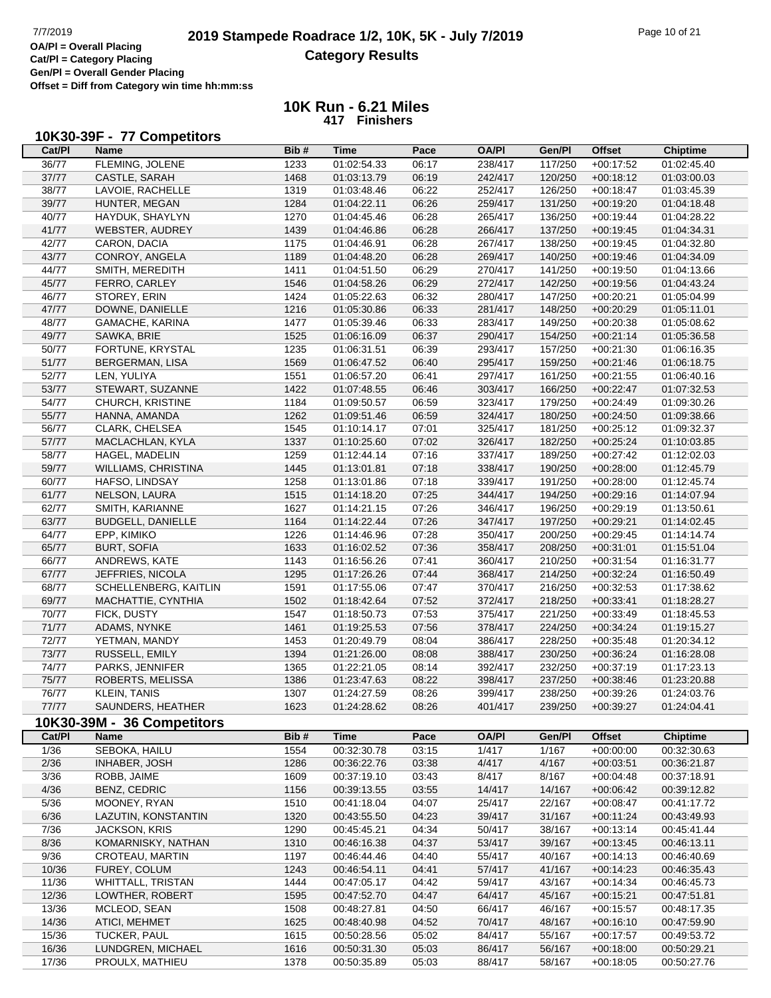## **2019 Stampede Roadrace 1/2, 10K, 5K - July 7/2019** Page 10 of 21<br> **OA/PI** = Overall Placing 2019 Stampede Roadrace 1/2, 10K, 5K - July 7/2019 **Category Results**

┑

**Cat/Pl = Category Placing Gen/Pl = Overall Gender Placing Offset = Diff from Category win time hh:mm:ss**

#### **10K Run - 6.21 Miles 417 Finishers**

#### **10K30-39F - 77 Competitors**

| Cat/PI | Name                       | Bib# | Time        | Pace  | <b>OA/PI</b> | Gen/Pl  | <b>Offset</b> | <b>Chiptime</b> |
|--------|----------------------------|------|-------------|-------|--------------|---------|---------------|-----------------|
| 36/77  | FLEMING, JOLENE            | 1233 | 01:02:54.33 | 06:17 | 238/417      | 117/250 | $+00:17:52$   | 01:02:45.40     |
| 37/77  | CASTLE, SARAH              | 1468 | 01:03:13.79 | 06:19 | 242/417      | 120/250 | $+00:18:12$   | 01:03:00.03     |
| 38/77  | LAVOIE, RACHELLE           | 1319 | 01:03:48.46 | 06:22 | 252/417      | 126/250 | $+00:18:47$   | 01:03:45.39     |
| 39/77  | HUNTER, MEGAN              | 1284 | 01:04:22.11 | 06:26 | 259/417      | 131/250 | $+00:19:20$   | 01:04:18.48     |
| 40/77  | HAYDUK, SHAYLYN            | 1270 | 01:04:45.46 | 06:28 | 265/417      | 136/250 | $+00:19:44$   | 01:04:28.22     |
| 41/77  | WEBSTER, AUDREY            | 1439 | 01:04:46.86 | 06:28 | 266/417      | 137/250 | $+00:19:45$   | 01:04:34.31     |
| 42/77  | CARON, DACIA               | 1175 | 01:04:46.91 | 06:28 | 267/417      | 138/250 | $+00:19:45$   | 01:04:32.80     |
| 43/77  | CONROY, ANGELA             |      |             |       |              |         |               |                 |
|        |                            | 1189 | 01:04:48.20 | 06:28 | 269/417      | 140/250 | $+00:19:46$   | 01:04:34.09     |
| 44/77  | SMITH, MEREDITH            | 1411 | 01:04:51.50 | 06:29 | 270/417      | 141/250 | $+00:19:50$   | 01:04:13.66     |
| 45/77  | FERRO, CARLEY              | 1546 | 01:04:58.26 | 06:29 | 272/417      | 142/250 | $+00:19:56$   | 01:04:43.24     |
| 46/77  | STOREY, ERIN               | 1424 | 01:05:22.63 | 06:32 | 280/417      | 147/250 | $+00:20:21$   | 01:05:04.99     |
| 47/77  | DOWNE, DANIELLE            | 1216 | 01:05:30.86 | 06:33 | 281/417      | 148/250 | $+00:20:29$   | 01:05:11.01     |
| 48/77  | GAMACHE, KARINA            | 1477 | 01:05:39.46 | 06:33 | 283/417      | 149/250 | $+00:20:38$   | 01:05:08.62     |
| 49/77  | SAWKA, BRIE                | 1525 | 01:06:16.09 | 06:37 | 290/417      | 154/250 | $+00:21:14$   | 01:05:36.58     |
| 50/77  | FORTUNE, KRYSTAL           | 1235 | 01:06:31.51 | 06:39 | 293/417      | 157/250 | $+00:21:30$   | 01:06:16.35     |
| 51/77  | <b>BERGERMAN, LISA</b>     | 1569 | 01:06:47.52 | 06:40 | 295/417      | 159/250 | $+00:21:46$   | 01:06:18.75     |
| 52/77  | LEN, YULIYA                | 1551 | 01:06:57.20 | 06:41 | 297/417      | 161/250 | $+00:21:55$   | 01:06:40.16     |
| 53/77  | STEWART, SUZANNE           | 1422 | 01:07:48.55 | 06:46 | 303/417      | 166/250 | $+00:22:47$   | 01:07:32.53     |
| 54/77  | CHURCH, KRISTINE           | 1184 | 01:09:50.57 | 06:59 | 323/417      | 179/250 | $+00:24:49$   | 01:09:30.26     |
| 55/77  | HANNA, AMANDA              | 1262 | 01:09:51.46 | 06:59 | 324/417      | 180/250 | $+00:24:50$   | 01:09:38.66     |
| 56/77  | CLARK, CHELSEA             | 1545 | 01:10:14.17 | 07:01 | 325/417      | 181/250 | $+00:25:12$   | 01:09:32.37     |
| 57/77  | MACLACHLAN, KYLA           |      |             |       |              |         |               |                 |
|        |                            | 1337 | 01:10:25.60 | 07:02 | 326/417      | 182/250 | $+00:25:24$   | 01:10:03.85     |
| 58/77  | HAGEL, MADELIN             | 1259 | 01:12:44.14 | 07:16 | 337/417      | 189/250 | $+00:27:42$   | 01:12:02.03     |
| 59/77  | <b>WILLIAMS, CHRISTINA</b> | 1445 | 01:13:01.81 | 07:18 | 338/417      | 190/250 | $+00:28:00$   | 01:12:45.79     |
| 60/77  | HAFSO, LINDSAY             | 1258 | 01:13:01.86 | 07:18 | 339/417      | 191/250 | $+00:28:00$   | 01:12:45.74     |
| 61/77  | NELSON, LAURA              | 1515 | 01:14:18.20 | 07:25 | 344/417      | 194/250 | $+00:29:16$   | 01:14:07.94     |
| 62/77  | SMITH, KARIANNE            | 1627 | 01:14:21.15 | 07:26 | 346/417      | 196/250 | $+00:29:19$   | 01:13:50.61     |
| 63/77  | <b>BUDGELL, DANIELLE</b>   | 1164 | 01:14:22.44 | 07:26 | 347/417      | 197/250 | $+00:29:21$   | 01:14:02.45     |
| 64/77  | EPP, KIMIKO                | 1226 | 01:14:46.96 | 07:28 | 350/417      | 200/250 | $+00:29:45$   | 01:14:14.74     |
| 65/77  | <b>BURT, SOFIA</b>         | 1633 | 01:16:02.52 | 07:36 | 358/417      | 208/250 | $+00:31:01$   | 01:15:51.04     |
| 66/77  | ANDREWS, KATE              | 1143 | 01:16:56.26 | 07:41 | 360/417      | 210/250 | $+00:31:54$   | 01:16:31.77     |
| 67/77  | JEFFRIES, NICOLA           | 1295 | 01:17:26.26 | 07:44 | 368/417      | 214/250 | $+00:32:24$   | 01:16:50.49     |
| 68/77  | SCHELLENBERG, KAITLIN      | 1591 | 01:17:55.06 | 07:47 | 370/417      | 216/250 | $+00:32:53$   | 01:17:38.62     |
| 69/77  | MACHATTIE, CYNTHIA         | 1502 | 01:18:42.64 | 07:52 | 372/417      | 218/250 | $+00:33:41$   | 01:18:28.27     |
| 70/77  | FICK, DUSTY                | 1547 | 01:18:50.73 | 07:53 | 375/417      | 221/250 | $+00:33:49$   | 01:18:45.53     |
| 71/77  | ADAMS, NYNKE               | 1461 | 01:19:25.53 | 07:56 | 378/417      | 224/250 | $+00:34:24$   | 01:19:15.27     |
| 72/77  |                            |      |             |       |              |         |               |                 |
|        | YETMAN, MANDY              | 1453 | 01:20:49.79 | 08:04 | 386/417      | 228/250 | $+00:35:48$   | 01:20:34.12     |
| 73/77  | RUSSELL, EMILY             | 1394 | 01:21:26.00 | 08:08 | 388/417      | 230/250 | $+00:36:24$   | 01:16:28.08     |
| 74/77  | PARKS, JENNIFER            | 1365 | 01:22:21.05 | 08:14 | 392/417      | 232/250 | $+00:37:19$   | 01:17:23.13     |
| 75/77  | ROBERTS, MELISSA           | 1386 | 01:23:47.63 | 08:22 | 398/417      | 237/250 | $+00:38:46$   | 01:23:20.88     |
| 76/77  | <b>KLEIN, TANIS</b>        | 1307 | 01:24:27.59 | 08:26 | 399/417      | 238/250 | $+00:39:26$   | 01:24:03.76     |
| 77/77  | SAUNDERS, HEATHER          | 1623 | 01:24:28.62 | 08:26 | 401/417      | 239/250 | $+00.39.27$   | 01:24:04.41     |
|        | 10K30-39M - 36 Competitors |      |             |       |              |         |               |                 |
| Cat/PI | <b>Name</b>                | Bib# | <b>Time</b> | Pace  | <b>OA/PI</b> | Gen/Pl  | <b>Offset</b> | <b>Chiptime</b> |
| 1/36   | SEBOKA, HAILU              | 1554 | 00:32:30.78 | 03:15 | 1/417        | 1/167   | $+00:00:00$   | 00:32:30.63     |
| 2/36   | <b>INHABER, JOSH</b>       | 1286 | 00:36:22.76 | 03:38 | 4/417        | 4/167   | $+00:03:51$   | 00:36:21.87     |
| 3/36   | ROBB, JAIME                | 1609 | 00:37:19.10 | 03:43 | 8/417        | 8/167   | $+00:04:48$   | 00:37:18.91     |
| 4/36   | BENZ, CEDRIC               | 1156 | 00:39:13.55 | 03:55 | 14/417       | 14/167  | $+00:06:42$   | 00:39:12.82     |
| 5/36   | MOONEY, RYAN               | 1510 | 00:41:18.04 | 04:07 | 25/417       | 22/167  |               | 00:41:17.72     |
|        |                            |      |             |       |              |         | $+00:08:47$   |                 |
| 6/36   | LAZUTIN, KONSTANTIN        | 1320 | 00:43:55.50 | 04:23 | 39/417       | 31/167  | $+00:11:24$   | 00:43:49.93     |
| 7/36   | <b>JACKSON, KRIS</b>       | 1290 | 00:45:45.21 | 04:34 | 50/417       | 38/167  | $+00:13:14$   | 00:45:41.44     |
| 8/36   | KOMARNISKY, NATHAN         | 1310 | 00:46:16.38 | 04:37 | 53/417       | 39/167  | $+00:13:45$   | 00:46:13.11     |
| 9/36   | CROTEAU, MARTIN            | 1197 | 00:46:44.46 | 04:40 | 55/417       | 40/167  | $+00:14:13$   | 00:46:40.69     |
| 10/36  | FUREY, COLUM               | 1243 | 00:46:54.11 | 04:41 | 57/417       | 41/167  | $+00:14:23$   | 00:46:35.43     |
| 11/36  | <b>WHITTALL, TRISTAN</b>   | 1444 | 00:47:05.17 | 04:42 | 59/417       | 43/167  | $+00:14:34$   | 00:46:45.73     |
| 12/36  | LOWTHER, ROBERT            | 1595 | 00:47:52.70 | 04:47 | 64/417       | 45/167  | $+00:15:21$   | 00:47:51.81     |
| 13/36  | MCLEOD, SEAN               | 1508 | 00:48:27.81 | 04:50 | 66/417       | 46/167  | $+00:15:57$   | 00:48:17.35     |
| 14/36  | ATICI, MEHMET              | 1625 | 00:48:40.98 | 04:52 | 70/417       | 48/167  | $+00:16:10$   | 00:47:59.90     |
| 15/36  | TUCKER, PAUL               | 1615 | 00:50:28.56 | 05:02 | 84/417       | 55/167  | $+00:17:57$   | 00:49:53.72     |
| 16/36  | LUNDGREN, MICHAEL          | 1616 | 00:50:31.30 | 05:03 | 86/417       | 56/167  | $+00:18:00$   | 00:50:29.21     |
| 17/36  | PROULX, MATHIEU            | 1378 | 00:50:35.89 | 05:03 | 88/417       | 58/167  | $+00:18:05$   | 00:50:27.76     |
|        |                            |      |             |       |              |         |               |                 |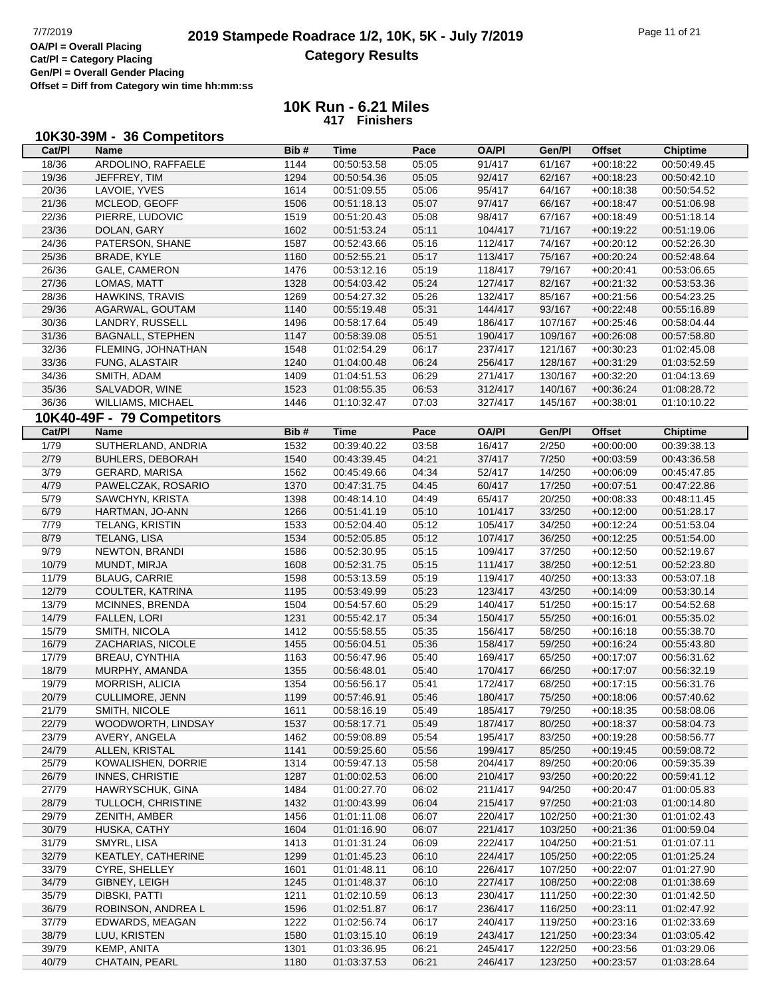# **2019 Stampede Roadrace 1/2, 10K, 5K - July 7/2019** Page 11 of 21<br> **OA/PI** = Overall Placing **2019 Stampede Roadrace 1/2, 10K, 5K - July 7/2019 Category Results**

**Cat/Pl = Category Placing Gen/Pl = Overall Gender Placing Offset = Diff from Category win time hh:mm:ss**

| Cat/PI | Name                       | Bib# | <b>Time</b> | Pace  | <b>OA/PI</b> | Gen/Pl  | <b>Offset</b> | <b>Chiptime</b> |
|--------|----------------------------|------|-------------|-------|--------------|---------|---------------|-----------------|
| 18/36  | ARDOLINO, RAFFAELE         | 1144 | 00:50:53.58 | 05:05 | 91/417       | 61/167  | $+00:18:22$   | 00:50:49.45     |
| 19/36  | JEFFREY, TIM               | 1294 | 00:50:54.36 | 05:05 | 92/417       | 62/167  | $+00:18:23$   | 00:50:42.10     |
| 20/36  | LAVOIE, YVES               | 1614 | 00:51:09.55 | 05:06 | 95/417       | 64/167  | $+00:18:38$   | 00:50:54.52     |
| 21/36  | MCLEOD, GEOFF              | 1506 | 00:51:18.13 | 05:07 | 97/417       | 66/167  | $+00:18:47$   | 00:51:06.98     |
| 22/36  | PIERRE, LUDOVIC            | 1519 | 00:51:20.43 | 05:08 | 98/417       | 67/167  | $+00:18:49$   | 00:51:18.14     |
| 23/36  | DOLAN, GARY                | 1602 | 00:51:53.24 | 05:11 | 104/417      | 71/167  | $+00:19:22$   | 00:51:19.06     |
| 24/36  | PATERSON, SHANE            | 1587 | 00:52:43.66 | 05:16 | 112/417      | 74/167  | $+00:20:12$   | 00:52:26.30     |
| 25/36  | <b>BRADE, KYLE</b>         | 1160 | 00:52:55.21 | 05:17 | 113/417      | 75/167  | $+00:20:24$   | 00:52:48.64     |
| 26/36  | GALE, CAMERON              | 1476 | 00:53:12.16 | 05:19 | 118/417      | 79/167  | $+00:20:41$   | 00:53:06.65     |
| 27/36  | LOMAS, MATT                | 1328 | 00:54:03.42 | 05:24 | 127/417      | 82/167  | $+00:21:32$   | 00:53:53.36     |
| 28/36  | HAWKINS, TRAVIS            | 1269 | 00:54:27.32 | 05:26 | 132/417      | 85/167  | $+00:21:56$   | 00:54:23.25     |
| 29/36  | AGARWAL, GOUTAM            | 1140 | 00:55:19.48 | 05:31 | 144/417      | 93/167  | $+00:22:48$   | 00:55:16.89     |
| 30/36  | LANDRY, RUSSELL            | 1496 | 00:58:17.64 | 05:49 | 186/417      | 107/167 | $+00:25:46$   | 00:58:04.44     |
| 31/36  | <b>BAGNALL, STEPHEN</b>    | 1147 | 00:58:39.08 | 05:51 | 190/417      | 109/167 | $+00:26:08$   | 00:57:58.80     |
| 32/36  | FLEMING, JOHNATHAN         | 1548 | 01:02:54.29 | 06:17 | 237/417      | 121/167 | $+00:30:23$   | 01:02:45.08     |
| 33/36  | FUNG, ALASTAIR             | 1240 | 01:04:00.48 | 06:24 | 256/417      | 128/167 | $+00:31:29$   | 01:03:52.59     |
| 34/36  | SMITH, ADAM                | 1409 | 01:04:51.53 | 06:29 | 271/417      | 130/167 | $+00:32:20$   | 01:04:13.69     |
| 35/36  | SALVADOR, WINE             | 1523 | 01:08:55.35 | 06:53 | 312/417      | 140/167 | $+00:36:24$   | 01:08:28.72     |
| 36/36  | WILLIAMS, MICHAEL          | 1446 | 01:10:32.47 | 07:03 | 327/417      | 145/167 | $+00:38:01$   | 01:10:10.22     |
|        |                            |      |             |       |              |         |               |                 |
|        | 10K40-49F - 79 Competitors |      |             |       |              |         |               |                 |
| Cat/PI | <b>Name</b>                | Bib# | <b>Time</b> | Pace  | <b>OA/PI</b> | Gen/Pl  | <b>Offset</b> | <b>Chiptime</b> |
| 1/79   | SUTHERLAND, ANDRIA         | 1532 | 00:39:40.22 | 03:58 | 16/417       | 2/250   | $+00:00:00$   | 00:39:38.13     |
| 2/79   | <b>BUHLERS, DEBORAH</b>    | 1540 | 00:43:39.45 | 04:21 | 37/417       | 7/250   | $+00.03.59$   | 00:43:36.58     |
| 3/79   | <b>GERARD, MARISA</b>      | 1562 | 00:45:49.66 | 04:34 | 52/417       | 14/250  | $+00:06:09$   | 00:45:47.85     |
| 4/79   | PAWELCZAK, ROSARIO         | 1370 | 00:47:31.75 | 04:45 | 60/417       | 17/250  | $+00:07:51$   | 00:47:22.86     |
| 5/79   | SAWCHYN, KRISTA            | 1398 | 00:48:14.10 | 04:49 | 65/417       | 20/250  | $+00:08:33$   | 00:48:11.45     |
| 6/79   | HARTMAN, JO-ANN            | 1266 | 00:51:41.19 | 05:10 | 101/417      | 33/250  | $+00:12:00$   | 00:51:28.17     |
| 7/79   | TELANG, KRISTIN            | 1533 | 00:52:04.40 | 05:12 | 105/417      | 34/250  | $+00:12:24$   | 00:51:53.04     |
| 8/79   | TELANG, LISA               | 1534 | 00:52:05.85 | 05:12 | 107/417      | 36/250  | $+00:12:25$   | 00:51:54.00     |
| 9/79   | NEWTON, BRANDI             | 1586 | 00:52:30.95 | 05:15 | 109/417      | 37/250  | $+00:12:50$   | 00:52:19.67     |
| 10/79  | MUNDT, MIRJA               | 1608 | 00:52:31.75 | 05:15 | 111/417      | 38/250  | $+00:12:51$   | 00:52:23.80     |
| 11/79  | <b>BLAUG, CARRIE</b>       | 1598 | 00:53:13.59 | 05:19 | 119/417      | 40/250  | $+00:13:33$   | 00:53:07.18     |
| 12/79  | COULTER, KATRINA           | 1195 | 00:53:49.99 | 05:23 | 123/417      | 43/250  | $+00:14:09$   | 00:53:30.14     |
| 13/79  | MCINNES, BRENDA            | 1504 | 00:54:57.60 | 05:29 | 140/417      | 51/250  | $+00:15:17$   | 00:54:52.68     |
| 14/79  | FALLEN, LORI               | 1231 | 00:55:42.17 | 05:34 | 150/417      | 55/250  | $+00:16:01$   | 00:55:35.02     |
| 15/79  | SMITH, NICOLA              | 1412 | 00:55:58.55 | 05:35 | 156/417      | 58/250  | $+00:16:18$   | 00:55:38.70     |
| 16/79  | ZACHARIAS, NICOLE          | 1455 | 00:56:04.51 | 05:36 | 158/417      | 59/250  | $+00:16:24$   | 00:55:43.80     |
| 17/79  | <b>BREAU, CYNTHIA</b>      | 1163 | 00:56:47.96 | 05:40 | 169/417      | 65/250  | $+00:17:07$   | 00:56:31.62     |
| 18/79  | MURPHY, AMANDA             | 1355 | 00:56:48.01 | 05:40 | 170/417      | 66/250  | $+00:17:07$   | 00:56:32.19     |
| 19/79  | MORRISH, ALICIA            | 1354 | 00:56:56.17 | 05:41 | 172/417      | 68/250  | $+00:17:15$   | 00:56:31.76     |
| 20/79  | <b>CULLIMORE, JENN</b>     | 1199 | 00:57:46.91 | 05:46 | 180/417      | 75/250  | $+00:18:06$   | 00:57:40.62     |
| 21/79  | SMITH, NICOLE              | 1611 | 00:58:16.19 | 05:49 | 185/417      | 79/250  | $+00:18:35$   | 00:58:08.06     |
| 22/79  | WOODWORTH, LINDSAY         | 1537 | 00:58:17.71 | 05:49 | 187/417      | 80/250  | $+00.18.37$   | 00:58:04.73     |
| 23/79  | AVERY, ANGELA              | 1462 | 00:59:08.89 | 05:54 | 195/417      | 83/250  | $+00:19:28$   | 00:58:56.77     |
| 24/79  | ALLEN, KRISTAL             | 1141 | 00:59:25.60 | 05:56 | 199/417      | 85/250  | $+00:19:45$   | 00:59:08.72     |
| 25/79  | KOWALISHEN, DORRIE         | 1314 | 00:59:47.13 | 05:58 | 204/417      | 89/250  | $+00:20:06$   | 00:59:35.39     |
| 26/79  | <b>INNES, CHRISTIE</b>     | 1287 | 01:00:02.53 | 06:00 | 210/417      | 93/250  | $+00:20:22$   | 00:59:41.12     |
| 27/79  | HAWRYSCHUK, GINA           | 1484 | 01:00:27.70 | 06:02 | 211/417      | 94/250  | $+00:20:47$   | 01:00:05.83     |
| 28/79  | TULLOCH, CHRISTINE         | 1432 | 01:00:43.99 | 06:04 | 215/417      | 97/250  | $+00:21:03$   | 01:00:14.80     |
| 29/79  | ZENITH, AMBER              | 1456 | 01:01:11.08 | 06:07 | 220/417      | 102/250 | $+00:21:30$   | 01:01:02.43     |
| 30/79  | HUSKA, CATHY               | 1604 | 01:01:16.90 | 06:07 | 221/417      | 103/250 | $+00:21:36$   | 01:00:59.04     |
| 31/79  | SMYRL, LISA                | 1413 | 01:01:31.24 | 06:09 | 222/417      | 104/250 | $+00:21:51$   | 01:01:07.11     |
| 32/79  | KEATLEY, CATHERINE         | 1299 | 01:01:45.23 | 06:10 | 224/417      | 105/250 | $+00:22:05$   | 01:01:25.24     |
| 33/79  | CYRE, SHELLEY              | 1601 | 01:01:48.11 | 06:10 | 226/417      | 107/250 | $+00:22:07$   | 01:01:27.90     |
| 34/79  | GIBNEY, LEIGH              | 1245 | 01:01:48.37 | 06:10 | 227/417      | 108/250 | $+00:22:08$   | 01:01:38.69     |
| 35/79  | DIBSKI, PATTI              | 1211 | 01:02:10.59 | 06:13 | 230/417      | 111/250 | $+00:22:30$   | 01:01:42.50     |
| 36/79  | ROBINSON, ANDREA L         | 1596 | 01:02:51.87 | 06:17 | 236/417      | 116/250 | $+00:23:11$   | 01:02:47.92     |
| 37/79  | EDWARDS, MEAGAN            | 1222 | 01:02:56.74 | 06:17 | 240/417      | 119/250 | $+00:23:16$   | 01:02:33.69     |
| 38/79  | LUU, KRISTEN               | 1580 | 01:03:15.10 | 06:19 | 243/417      | 121/250 | $+00:23:34$   | 01:03:05.42     |
| 39/79  | KEMP, ANITA                | 1301 | 01:03:36.95 | 06:21 | 245/417      | 122/250 | $+00:23:56$   | 01:03:29.06     |
| 40/79  | CHATAIN, PEARL             | 1180 | 01:03:37.53 | 06:21 | 246/417      | 123/250 | $+00:23:57$   | 01:03:28.64     |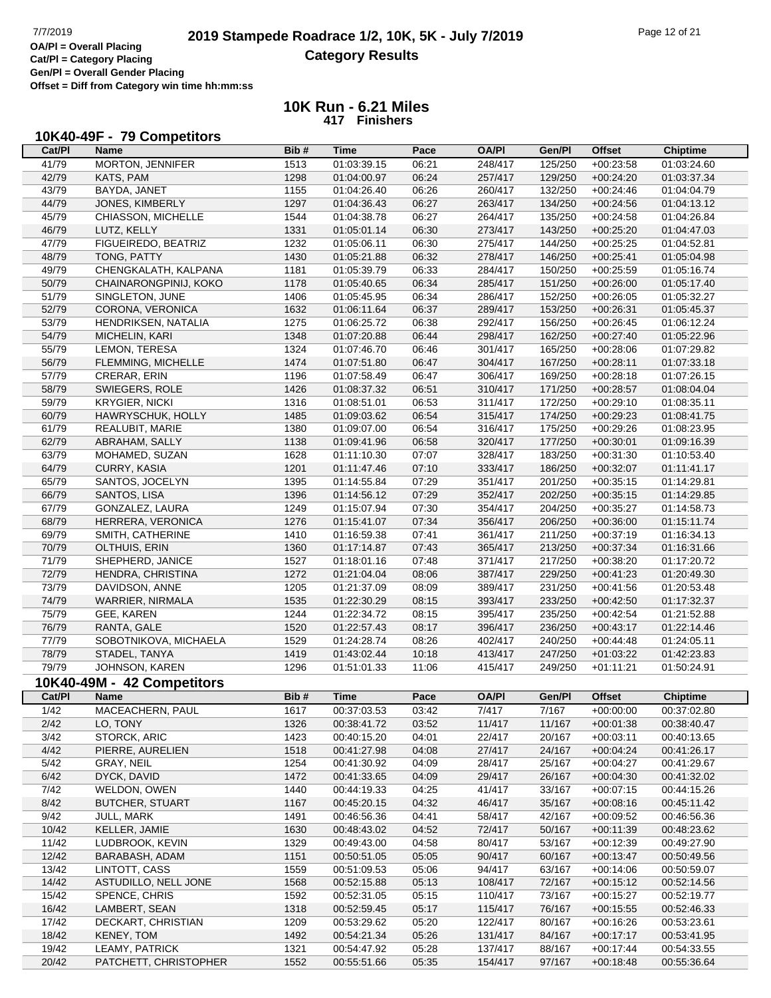## **2019 Stampede Roadrace 1/2, 10K, 5K - July 7/2019** Page 12 of 21<br> **2019 Stampede Roadrace 1/2, 10K, 5K - July 7/2019 Category Results**

**Cat/Pl = Category Placing Gen/Pl = Overall Gender Placing Offset = Diff from Category win time hh:mm:ss**

#### **10K Run - 6.21 Miles 417 Finishers**

#### **10K40-49F - 79 Competitors**

| Cat/Pl | Name                       | Bib# | Time        | Pace  | <b>OA/PI</b> | Gen/Pl  | <b>Offset</b> | <b>Chiptime</b> |
|--------|----------------------------|------|-------------|-------|--------------|---------|---------------|-----------------|
| 41/79  | MORTON, JENNIFER           | 1513 | 01:03:39.15 | 06:21 | 248/417      | 125/250 | $+00:23:58$   | 01:03:24.60     |
| 42/79  | KATS, PAM                  | 1298 | 01:04:00.97 | 06:24 | 257/417      | 129/250 | $+00:24:20$   | 01:03:37.34     |
| 43/79  | BAYDA, JANET               | 1155 | 01:04:26.40 | 06:26 | 260/417      | 132/250 | $+00:24:46$   | 01:04:04.79     |
| 44/79  | JONES, KIMBERLY            | 1297 | 01:04:36.43 | 06:27 | 263/417      | 134/250 | $+00:24:56$   | 01:04:13.12     |
| 45/79  | CHIASSON, MICHELLE         |      |             |       |              |         |               |                 |
|        |                            | 1544 | 01:04:38.78 | 06:27 | 264/417      | 135/250 | $+00:24:58$   | 01:04:26.84     |
| 46/79  | LUTZ, KELLY                | 1331 | 01:05:01.14 | 06:30 | 273/417      | 143/250 | $+00:25:20$   | 01:04:47.03     |
| 47/79  | FIGUEIREDO, BEATRIZ        | 1232 | 01:05:06.11 | 06:30 | 275/417      | 144/250 | $+00:25:25$   | 01:04:52.81     |
| 48/79  | TONG, PATTY                | 1430 | 01:05:21.88 | 06:32 | 278/417      | 146/250 | $+00:25:41$   | 01:05:04.98     |
| 49/79  | CHENGKALATH, KALPANA       | 1181 | 01:05:39.79 | 06:33 | 284/417      | 150/250 | $+00:25:59$   | 01:05:16.74     |
| 50/79  | CHAINARONGPINIJ, KOKO      | 1178 | 01:05:40.65 | 06:34 | 285/417      | 151/250 | $+00:26:00$   | 01:05:17.40     |
| 51/79  | SINGLETON, JUNE            | 1406 | 01:05:45.95 | 06:34 | 286/417      | 152/250 | $+00:26:05$   | 01:05:32.27     |
| 52/79  | CORONA, VERONICA           | 1632 | 01:06:11.64 | 06:37 | 289/417      | 153/250 | $+00:26:31$   | 01:05:45.37     |
| 53/79  | HENDRIKSEN, NATALIA        | 1275 | 01:06:25.72 | 06:38 | 292/417      | 156/250 | $+00:26:45$   | 01:06:12.24     |
| 54/79  | MICHELIN, KARI             | 1348 | 01:07:20.88 | 06:44 | 298/417      | 162/250 | $+00:27:40$   | 01:05:22.96     |
| 55/79  | LEMON, TERESA              | 1324 | 01:07:46.70 | 06:46 | 301/417      | 165/250 | $+00:28:06$   | 01:07:29.82     |
| 56/79  | FLEMMING, MICHELLE         | 1474 | 01:07:51.80 | 06:47 | 304/417      | 167/250 | $+00:28:11$   | 01:07:33.18     |
| 57/79  | CRERAR, ERIN               | 1196 | 01:07:58.49 | 06:47 | 306/417      | 169/250 | $+00:28:18$   | 01:07:26.15     |
| 58/79  | SWIEGERS, ROLE             | 1426 | 01:08:37.32 | 06:51 | 310/417      | 171/250 | $+00:28:57$   | 01:08:04.04     |
| 59/79  |                            |      |             |       |              |         |               |                 |
|        | <b>KRYGIER, NICKI</b>      | 1316 | 01:08:51.01 | 06:53 | 311/417      | 172/250 | $+00:29:10$   | 01:08:35.11     |
| 60/79  | HAWRYSCHUK, HOLLY          | 1485 | 01:09:03.62 | 06:54 | 315/417      | 174/250 | $+00:29:23$   | 01:08:41.75     |
| 61/79  | REALUBIT, MARIE            | 1380 | 01:09:07.00 | 06:54 | 316/417      | 175/250 | $+00:29:26$   | 01:08:23.95     |
| 62/79  | ABRAHAM, SALLY             | 1138 | 01:09:41.96 | 06:58 | 320/417      | 177/250 | $+00:30:01$   | 01:09:16.39     |
| 63/79  | MOHAMED, SUZAN             | 1628 | 01:11:10.30 | 07:07 | 328/417      | 183/250 | $+00:31:30$   | 01:10:53.40     |
| 64/79  | CURRY, KASIA               | 1201 | 01:11:47.46 | 07:10 | 333/417      | 186/250 | $+00:32:07$   | 01:11:41.17     |
| 65/79  | SANTOS, JOCELYN            | 1395 | 01:14:55.84 | 07:29 | 351/417      | 201/250 | $+00:35:15$   | 01:14:29.81     |
| 66/79  | SANTOS, LISA               | 1396 | 01:14:56.12 | 07:29 | 352/417      | 202/250 | $+00:35:15$   | 01:14:29.85     |
| 67/79  | GONZALEZ, LAURA            | 1249 | 01:15:07.94 | 07:30 | 354/417      | 204/250 | $+00:35:27$   | 01:14:58.73     |
| 68/79  | HERRERA, VERONICA          | 1276 | 01:15:41.07 | 07:34 | 356/417      | 206/250 | $+00:36:00$   | 01:15:11.74     |
| 69/79  | SMITH, CATHERINE           | 1410 | 01:16:59.38 | 07:41 | 361/417      | 211/250 | $+00:37:19$   | 01:16:34.13     |
| 70/79  | OLTHUIS, ERIN              | 1360 | 01:17:14.87 | 07:43 | 365/417      | 213/250 | $+00:37:34$   | 01:16:31.66     |
| 71/79  | SHEPHERD, JANICE           | 1527 | 01:18:01.16 | 07:48 | 371/417      | 217/250 | $+00:38:20$   | 01:17:20.72     |
| 72/79  | HENDRA, CHRISTINA          | 1272 | 01:21:04.04 | 08:06 | 387/417      | 229/250 | $+00:41:23$   | 01:20:49.30     |
| 73/79  | DAVIDSON, ANNE             | 1205 | 01:21:37.09 | 08:09 | 389/417      | 231/250 | $+00:41:56$   | 01:20:53.48     |
| 74/79  | WARRIER, NIRMALA           | 1535 | 01:22:30.29 | 08:15 | 393/417      | 233/250 | $+00:42:50$   | 01:17:32.37     |
|        |                            |      |             |       |              |         |               |                 |
| 75/79  | GEE, KAREN                 | 1244 | 01:22:34.72 | 08:15 | 395/417      | 235/250 | $+00:42:54$   | 01:21:52.88     |
| 76/79  | RANTA, GALE                | 1520 | 01:22:57.43 | 08:17 | 396/417      | 236/250 | $+00:43:17$   | 01:22:14.46     |
| 77/79  | SOBOTNIKOVA, MICHAELA      | 1529 | 01:24:28.74 | 08:26 | 402/417      | 240/250 | $+00:44:48$   | 01:24:05.11     |
| 78/79  | STADEL, TANYA              | 1419 | 01:43:02.44 | 10:18 | 413/417      | 247/250 | $+01:03:22$   | 01:42:23.83     |
| 79/79  | JOHNSON, KAREN             | 1296 | 01:51:01.33 | 11:06 | 415/417      | 249/250 | $+01:11:21$   | 01:50:24.91     |
|        | 10K40-49M - 42 Competitors |      |             |       |              |         |               |                 |
| Cat/PI | <b>Name</b>                | Bib# | <b>Time</b> | Pace  | <b>OA/PI</b> | Gen/Pl  | <b>Offset</b> | <b>Chiptime</b> |
| 1/42   | MACEACHERN, PAUL           | 1617 | 00:37:03.53 | 03:42 | 7/417        | 7/167   | $+00:00:00$   | 00:37:02.80     |
| 2/42   | LO, TONY                   | 1326 | 00:38:41.72 | 03:52 | 11/417       | 11/167  | $+00:01:38$   | 00:38:40.47     |
| 3/42   | STORCK, ARIC               | 1423 | 00:40:15.20 | 04:01 | 22/417       | 20/167  | $+00:03:11$   | 00:40:13.65     |
| 4/42   | PIERRE, AURELIEN           | 1518 | 00:41:27.98 | 04:08 | 27/417       | 24/167  | $+00:04:24$   | 00:41:26.17     |
| 5/42   | <b>GRAY, NEIL</b>          | 1254 | 00:41:30.92 | 04:09 | 28/417       | 25/167  | $+00:04:27$   | 00:41:29.67     |
| 6/42   | DYCK, DAVID                | 1472 | 00:41:33.65 | 04:09 | 29/417       | 26/167  | $+00:04:30$   | 00:41:32.02     |
|        |                            |      |             |       |              |         |               |                 |
| 7/42   | WELDON, OWEN               | 1440 | 00:44:19.33 | 04:25 | 41/417       | 33/167  | $+00:07:15$   | 00:44:15.26     |
| 8/42   | <b>BUTCHER, STUART</b>     | 1167 | 00:45:20.15 | 04:32 | 46/417       | 35/167  | $+00:08:16$   | 00:45:11.42     |
| 9/42   | JULL, MARK                 | 1491 | 00:46:56.36 | 04:41 | 58/417       | 42/167  | $+00:09:52$   | 00:46:56.36     |
| 10/42  | KELLER, JAMIE              | 1630 | 00:48:43.02 | 04:52 | 72/417       | 50/167  | $+00:11:39$   | 00:48:23.62     |
| 11/42  | LUDBROOK, KEVIN            | 1329 | 00:49:43.00 | 04:58 | 80/417       | 53/167  | $+00:12:39$   | 00:49:27.90     |
| 12/42  | BARABASH, ADAM             | 1151 | 00:50:51.05 | 05:05 | 90/417       | 60/167  | $+00:13:47$   | 00:50:49.56     |
| 13/42  | LINTOTT, CASS              | 1559 | 00:51:09.53 | 05:06 | 94/417       | 63/167  | $+00:14:06$   | 00:50:59.07     |
| 14/42  | ASTUDILLO, NELL JONE       | 1568 | 00:52:15.88 | 05:13 | 108/417      | 72/167  | $+00:15:12$   | 00:52:14.56     |
| 15/42  | SPENCE, CHRIS              | 1592 | 00:52:31.05 | 05:15 | 110/417      | 73/167  | $+00:15:27$   | 00:52:19.77     |
| 16/42  | LAMBERT, SEAN              | 1318 | 00:52:59.45 | 05:17 | 115/417      | 76/167  | $+00:15:55$   | 00:52:46.33     |
| 17/42  | DECKART, CHRISTIAN         | 1209 | 00:53:29.62 | 05:20 | 122/417      | 80/167  | $+00:16:26$   | 00:53:23.61     |
| 18/42  | <b>KENEY, TOM</b>          | 1492 | 00:54:21.34 | 05:26 | 131/417      | 84/167  | $+00:17:17$   | 00:53:41.95     |
| 19/42  | LEAMY, PATRICK             | 1321 | 00:54:47.92 | 05:28 | 137/417      | 88/167  | $+00:17:44$   | 00:54:33.55     |
| 20/42  | PATCHETT, CHRISTOPHER      | 1552 | 00:55:51.66 | 05:35 | 154/417      | 97/167  | $+00:18:48$   | 00:55:36.64     |
|        |                            |      |             |       |              |         |               |                 |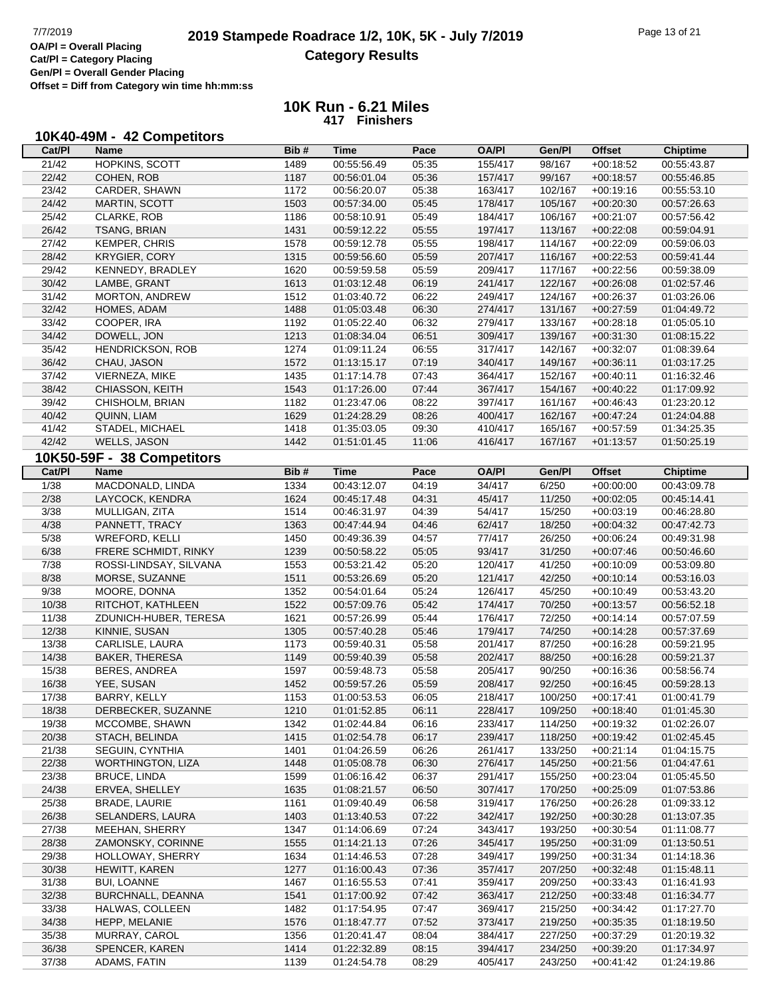## **2019 Stampede Roadrace 1/2, 10K, 5K - July 7/2019** Page 13 of 21<br> **OA/PI** = Overall Placing 2019 Stampede Roadrace 1/2, 10K, 5K - July 7/2019 **Category Results**

**Cat/Pl = Category Placing Gen/Pl = Overall Gender Placing Offset = Diff from Category win time hh:mm:ss**

| 10K40-49M - 42 Competitors |
|----------------------------|
|----------------------------|

| Cat/PI | Name                       | Bib# | Time                       | Pace  | <b>OA/PI</b> | Gen/Pl  | <b>Offset</b> | <b>Chiptime</b> |
|--------|----------------------------|------|----------------------------|-------|--------------|---------|---------------|-----------------|
| 21/42  | HOPKINS, SCOTT             | 1489 | 00:55:56.49                | 05:35 | 155/417      | 98/167  | $+00:18:52$   | 00:55:43.87     |
| 22/42  | COHEN, ROB                 | 1187 | 00:56:01.04                | 05:36 | 157/417      | 99/167  | $+00:18:57$   | 00:55:46.85     |
| 23/42  | CARDER, SHAWN              | 1172 | 00:56:20.07                | 05:38 | 163/417      | 102/167 | $+00:19:16$   | 00:55:53.10     |
| 24/42  | MARTIN, SCOTT              | 1503 | 00:57:34.00                | 05:45 | 178/417      | 105/167 | $+00:20:30$   | 00:57:26.63     |
| 25/42  | <b>CLARKE, ROB</b>         | 1186 | 00:58:10.91                | 05:49 | 184/417      | 106/167 | $+00:21:07$   | 00:57:56.42     |
| 26/42  | <b>TSANG, BRIAN</b>        | 1431 | 00:59:12.22                | 05:55 | 197/417      | 113/167 | $+00:22:08$   | 00:59:04.91     |
| 27/42  | <b>KEMPER, CHRIS</b>       | 1578 | 00:59:12.78                | 05:55 | 198/417      | 114/167 | $+00:22:09$   | 00:59:06.03     |
| 28/42  | <b>KRYGIER, CORY</b>       | 1315 | 00:59:56.60                | 05:59 | 207/417      | 116/167 | $+00:22:53$   | 00:59:41.44     |
| 29/42  | KENNEDY, BRADLEY           | 1620 | 00:59:59.58                | 05:59 | 209/417      | 117/167 | $+00:22:56$   | 00:59:38.09     |
| 30/42  | LAMBE, GRANT               | 1613 | 01:03:12.48                | 06:19 | 241/417      | 122/167 | $+00:26:08$   | 01:02:57.46     |
| 31/42  | MORTON, ANDREW             | 1512 | 01:03:40.72                | 06:22 | 249/417      | 124/167 | $+00:26:37$   | 01:03:26.06     |
| 32/42  | HOMES, ADAM                | 1488 | 01:05:03.48                | 06:30 | 274/417      | 131/167 | $+00:27:59$   | 01:04:49.72     |
| 33/42  | COOPER, IRA                | 1192 | 01:05:22.40                | 06:32 | 279/417      | 133/167 | $+00:28:18$   | 01:05:05.10     |
| 34/42  | DOWELL, JON                | 1213 | 01:08:34.04                | 06:51 | 309/417      | 139/167 | $+00:31:30$   | 01:08:15.22     |
| 35/42  | <b>HENDRICKSON, ROB</b>    | 1274 | 01:09:11.24                | 06:55 | 317/417      | 142/167 | $+00:32:07$   | 01:08:39.64     |
| 36/42  | CHAU, JASON                | 1572 | 01:13:15.17                | 07:19 | 340/417      | 149/167 | $+00:36:11$   | 01:03:17.25     |
|        |                            |      |                            |       |              |         | $+00:40:11$   |                 |
| 37/42  | VIERNEZA, MIKE             | 1435 | 01:17:14.78                | 07:43 | 364/417      | 152/167 |               | 01:16:32.46     |
| 38/42  | CHIASSON, KEITH            | 1543 | 01:17:26.00                | 07:44 | 367/417      | 154/167 | $+00:40:22$   | 01:17:09.92     |
| 39/42  | CHISHOLM, BRIAN            | 1182 | 01:23:47.06                | 08:22 | 397/417      | 161/167 | $+00:46:43$   | 01:23:20.12     |
| 40/42  | QUINN, LIAM                | 1629 | 01:24:28.29                | 08:26 | 400/417      | 162/167 | $+00:47:24$   | 01:24:04.88     |
| 41/42  | STADEL, MICHAEL            | 1418 | 01:35:03.05                | 09:30 | 410/417      | 165/167 | $+00:57:59$   | 01:34:25.35     |
| 42/42  | <b>WELLS, JASON</b>        | 1442 | 01:51:01.45                | 11:06 | 416/417      | 167/167 | $+01:13:57$   | 01:50:25.19     |
|        | 10K50-59F - 38 Competitors |      |                            |       |              |         |               |                 |
| Cat/PI | <b>Name</b>                | Bib# | <b>Time</b>                | Pace  | <b>OA/PI</b> | Gen/Pl  | <b>Offset</b> | <b>Chiptime</b> |
| 1/38   | MACDONALD, LINDA           | 1334 | 00:43:12.07                | 04:19 | 34/417       | 6/250   | $+00:00:00$   | 00:43:09.78     |
| 2/38   | LAYCOCK, KENDRA            | 1624 | 00:45:17.48                | 04:31 | 45/417       | 11/250  | $+00:02:05$   | 00:45:14.41     |
| 3/38   | MULLIGAN, ZITA             | 1514 | 00:46:31.97                | 04:39 | 54/417       | 15/250  | $+00:03:19$   | 00:46:28.80     |
| 4/38   | PANNETT, TRACY             | 1363 | 00:47:44.94                | 04:46 | 62/417       | 18/250  | $+00:04:32$   | 00:47:42.73     |
| 5/38   | WREFORD, KELLI             | 1450 | 00:49:36.39                | 04:57 | 77/417       | 26/250  | $+00:06:24$   | 00:49:31.98     |
| 6/38   | FRERE SCHMIDT, RINKY       | 1239 | 00:50:58.22                | 05:05 | 93/417       | 31/250  | $+00:07:46$   | 00:50:46.60     |
| 7/38   | ROSSI-LINDSAY, SILVANA     | 1553 | 00:53:21.42                | 05:20 | 120/417      | 41/250  | $+00:10:09$   | 00:53:09.80     |
| 8/38   | MORSE, SUZANNE             | 1511 | 00:53:26.69                | 05:20 | 121/417      | 42/250  | $+00:10:14$   | 00:53:16.03     |
| 9/38   | MOORE, DONNA               | 1352 | 00:54:01.64                | 05:24 | 126/417      | 45/250  | $+00:10:49$   | 00:53:43.20     |
| 10/38  | RITCHOT, KATHLEEN          | 1522 | 00:57:09.76                | 05:42 | 174/417      | 70/250  | $+00:13:57$   | 00:56:52.18     |
| 11/38  | ZDUNICH-HUBER, TERESA      | 1621 | 00:57:26.99                | 05:44 | 176/417      | 72/250  | $+00.14.14$   | 00:57:07.59     |
| 12/38  | KINNIE, SUSAN              | 1305 | 00:57:40.28                | 05:46 | 179/417      | 74/250  | $+00:14:28$   | 00:57:37.69     |
| 13/38  | CARLISLE, LAURA            | 1173 | 00:59:40.31                | 05:58 | 201/417      | 87/250  | $+00:16:28$   | 00:59:21.95     |
| 14/38  | <b>BAKER, THERESA</b>      | 1149 | 00:59:40.39                | 05:58 | 202/417      | 88/250  | $+00:16:28$   | 00:59:21.37     |
| 15/38  | BERES, ANDREA              | 1597 | 00:59:48.73                | 05:58 | 205/417      | 90/250  | $+00:16:36$   | 00:58:56.74     |
| 16/38  | YEE, SUSAN                 | 1452 | 00:59:57.26                | 05:59 | 208/417      | 92/250  | $+00:16:45$   | 00:59:28.13     |
| 17/38  | BARRY, KELLY               | 1153 | 01:00:53.53                | 06:05 | 218/417      | 100/250 | $+00:17:41$   | 01:00:41.79     |
| 18/38  | DERBECKER, SUZANNE         | 1210 | 01:01:52.85                | 06:11 | 228/417      | 109/250 | $+00:18:40$   | 01:01:45.30     |
| 19/38  | MCCOMBE, SHAWN             | 1342 | 01:02:44.84                | 06:16 | 233/417      | 114/250 | $+00:19:32$   | 01:02:26.07     |
| 20/38  | STACH, BELINDA             | 1415 | 01:02:54.78                | 06:17 | 239/417      | 118/250 | $+00:19:42$   | 01:02:45.45     |
| 21/38  | SEGUIN, CYNTHIA            | 1401 | 01:04:26.59                | 06:26 | 261/417      | 133/250 | $+00:21:14$   | 01:04:15.75     |
| 22/38  | <b>WORTHINGTON, LIZA</b>   | 1448 | 01:05:08.78                | 06:30 | 276/417      | 145/250 | $+00:21:56$   | 01:04:47.61     |
| 23/38  | <b>BRUCE, LINDA</b>        | 1599 | 01:06:16.42                | 06:37 | 291/417      | 155/250 | $+00:23:04$   | 01:05:45.50     |
| 24/38  | ERVEA, SHELLEY             | 1635 |                            | 06:50 | 307/417      | 170/250 | $+00:25:09$   |                 |
| 25/38  | <b>BRADE, LAURIE</b>       | 1161 | 01:08:21.57<br>01:09:40.49 | 06:58 | 319/417      | 176/250 | $+00:26:28$   | 01:07:53.86     |
|        | SELANDERS, LAURA           |      |                            |       | 342/417      |         |               | 01:09:33.12     |
| 26/38  |                            | 1403 | 01:13:40.53                | 07:22 |              | 192/250 | $+00:30:28$   | 01:13:07.35     |
| 27/38  | MEEHAN, SHERRY             | 1347 | 01:14:06.69                | 07:24 | 343/417      | 193/250 | $+00:30:54$   | 01:11:08.77     |
| 28/38  | ZAMONSKY, CORINNE          | 1555 | 01:14:21.13                | 07:26 | 345/417      | 195/250 | $+00:31:09$   | 01:13:50.51     |
| 29/38  | HOLLOWAY, SHERRY           | 1634 | 01:14:46.53                | 07:28 | 349/417      | 199/250 | $+00:31:34$   | 01:14:18.36     |
| 30/38  | HEWITT, KAREN              | 1277 | 01:16:00.43                | 07:36 | 357/417      | 207/250 | $+00:32:48$   | 01:15:48.11     |
| 31/38  | <b>BUI, LOANNE</b>         | 1467 | 01:16:55.53                | 07:41 | 359/417      | 209/250 | $+00:33:43$   | 01:16:41.93     |
| 32/38  | BURCHNALL, DEANNA          | 1541 | 01:17:00.92                | 07:42 | 363/417      | 212/250 | $+00:33:48$   | 01:16:34.77     |
| 33/38  | HALWAS, COLLEEN            | 1482 | 01:17:54.95                | 07:47 | 369/417      | 215/250 | $+00:34:42$   | 01:17:27.70     |
| 34/38  | HEPP, MELANIE              | 1576 | 01:18:47.77                | 07:52 | 373/417      | 219/250 | $+00:35:35$   | 01:18:19.50     |
| 35/38  | MURRAY, CAROL              | 1356 | 01:20:41.47                | 08:04 | 384/417      | 227/250 | $+00:37:29$   | 01:20:19.32     |
| 36/38  | SPENCER, KAREN             | 1414 | 01:22:32.89                | 08:15 | 394/417      | 234/250 | $+00:39:20$   | 01:17:34.97     |
| 37/38  | ADAMS, FATIN               | 1139 | 01:24:54.78                | 08:29 | 405/417      | 243/250 | $+00:41:42$   | 01:24:19.86     |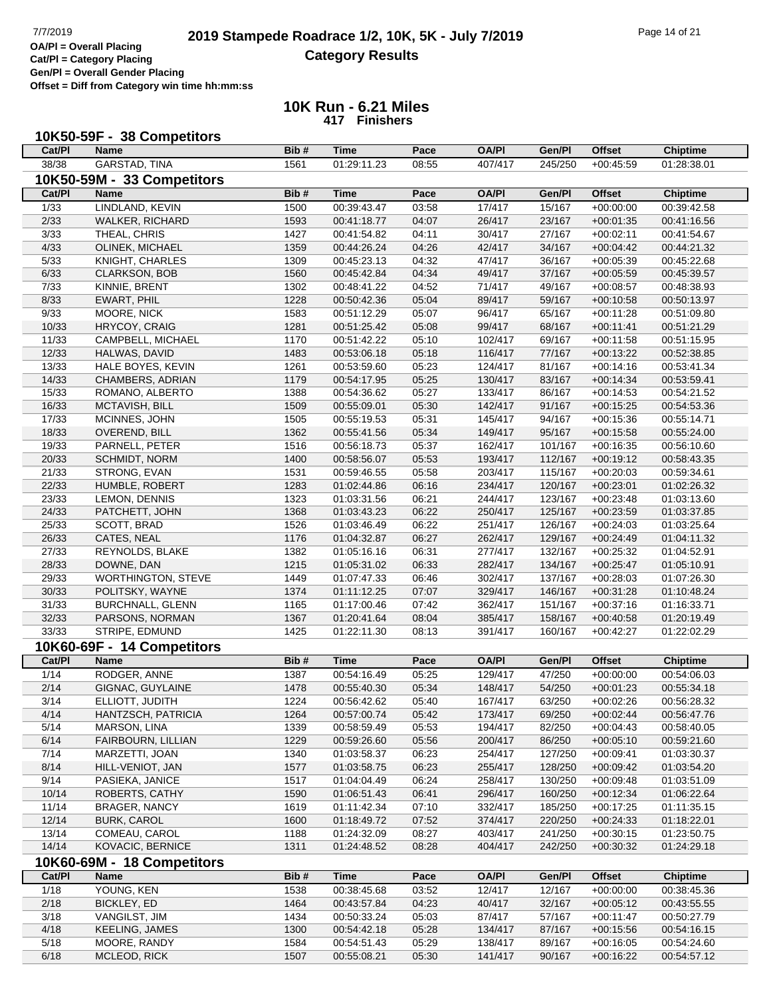## **2019 Stampede Roadrace 1/2, 10K, 5K - July 7/2019** Page 14 of 21<br> **OA/PI** = Overall Placing 2019 Stampede Roadrace 1/2, 10K, 5K - July 7/2019 **Category Results**

**Cat/Pl = Category Placing Gen/Pl = Overall Gender Placing**

**Offset = Diff from Category win time hh:mm:ss**

|                   | 10K50-59F - 38 Competitors           |              |                            |                |                    |                    |                            |                            |
|-------------------|--------------------------------------|--------------|----------------------------|----------------|--------------------|--------------------|----------------------------|----------------------------|
| Cat/Pl            | <b>Name</b>                          | Bib#         | <b>Time</b>                | Pace           | <b>OA/PI</b>       | Gen/Pl             | <b>Offset</b>              | <b>Chiptime</b>            |
| 38/38             | <b>GARSTAD, TINA</b>                 | 1561         | 01:29:11.23                | 08:55          | 407/417            | 245/250            | $+00:45:59$                | 01:28:38.01                |
|                   | 10K50-59M - 33 Competitors           |              |                            |                |                    |                    |                            |                            |
| Cat/Pl            | <b>Name</b>                          | Bib#         | <b>Time</b>                | Pace           | <b>OA/PI</b>       | Gen/Pl             | <b>Offset</b>              | <b>Chiptime</b>            |
| 1/33              | LINDLAND, KEVIN                      | 1500         | 00:39:43.47                | 03:58          | 17/417             | 15/167             | $+00:00:00$                | 00:39:42.58                |
| 2/33              | WALKER, RICHARD                      | 1593         | 00:41:18.77                | 04:07          | 26/417             | 23/167             | $+00:01:35$                | 00:41:16.56                |
| $\overline{3/33}$ | THEAL, CHRIS                         | 1427         | 00:41:54.82                | 04:11          | 30/417             | 27/167             | $+00:02:11$                | 00:41:54.67                |
| 4/33              | OLINEK, MICHAEL                      | 1359         | 00:44:26.24                | 04:26          | 42/417             | 34/167             | $+00:04:42$                | 00:44:21.32                |
| 5/33              | KNIGHT, CHARLES                      | 1309         | 00:45:23.13                | 04:32          | 47/417             | 36/167             | $+00:05:39$                | 00:45:22.68                |
| 6/33              | <b>CLARKSON, BOB</b>                 | 1560         | 00:45:42.84                | 04:34          | 49/417             | 37/167             | $+00:05:59$                | 00:45:39.57                |
| 7/33              | KINNIE, BRENT                        | 1302         | 00:48:41.22                | 04:52          | 71/417             | 49/167             | $+00:08:57$                | 00:48:38.93                |
| 8/33              | EWART, PHIL                          | 1228         | 00:50:42.36                | 05:04          | 89/417             | 59/167             | $+00:10:58$                | 00:50:13.97                |
| 9/33              | MOORE, NICK                          | 1583         | 00:51:12.29                | 05:07          | 96/417             | 65/167             | $+00:11:28$                | 00:51:09.80                |
| 10/33             | HRYCOY, CRAIG                        | 1281         | 00:51:25.42                | 05:08          | 99/417             | 68/167             | $+00:11:41$                | 00:51:21.29                |
| 11/33             | CAMPBELL, MICHAEL                    | 1170         | 00:51:42.22                | 05:10          | 102/417            | 69/167             | $+00:11:58$                | 00:51:15.95                |
| 12/33             | HALWAS, DAVID                        | 1483         | 00:53:06.18                | 05:18          | 116/417            | 77/167             | $+00:13:22$                | 00:52:38.85                |
| 13/33             | HALE BOYES, KEVIN                    | 1261         | 00:53:59.60                | 05:23          | 124/417            | 81/167             | $+00:14:16$                | 00:53:41.34                |
| 14/33             | CHAMBERS, ADRIAN                     | 1179         | 00:54:17.95                | 05:25          | 130/417            | 83/167             | $+00:14:34$                | 00:53:59.41                |
| 15/33             | ROMANO, ALBERTO                      | 1388         | 00:54:36.62                | 05:27          | 133/417            | 86/167             | $+00:14:53$                | 00:54:21.52                |
| 16/33             | MCTAVISH, BILL                       | 1509         | 00:55:09.01                | 05:30          | 142/417            | 91/167             | $+00:15:25$                | 00:54:53.36                |
| 17/33             | MCINNES, JOHN                        | 1505         | 00:55:19.53                | 05:31          | 145/417            | 94/167             | $+00:15:36$                | 00:55:14.71                |
| 18/33             | OVEREND, BILL                        | 1362         | 00:55:41.56                | 05:34          | 149/417            | 95/167             | $+00:15:58$                | 00:55:24.00                |
| 19/33             | PARNELL, PETER                       | 1516         | 00:56:18.73                | 05:37          | 162/417            | 101/167            | $+00:16:35$                | 00:56:10.60                |
| 20/33             | <b>SCHMIDT, NORM</b>                 | 1400         | 00:58:56.07                | 05:53          | 193/417            | 112/167            | $+00:19:12$                | 00:58:43.35                |
| 21/33             | STRONG, EVAN                         | 1531         | 00:59:46.55                | 05:58          | 203/417            | 115/167            | $+00:20:03$                | 00:59:34.61                |
| 22/33             | HUMBLE, ROBERT                       | 1283         | 01:02:44.86                | 06:16          | 234/417            | 120/167            | $+00:23:01$                | 01:02:26.32                |
| 23/33             | LEMON, DENNIS                        | 1323         | 01:03:31.56                | 06:21          | 244/417            | 123/167            | $+00:23:48$                | 01:03:13.60                |
| 24/33             | PATCHETT, JOHN                       | 1368         | 01:03:43.23                | 06:22          | 250/417            | 125/167            | $+00:23:59$                | 01:03:37.85                |
| 25/33             | SCOTT, BRAD                          | 1526         | 01:03:46.49                | 06:22          | 251/417            | 126/167            | $+00:24:03$                | 01:03:25.64                |
| 26/33             | CATES, NEAL                          | 1176         | 01:04:32.87                | 06:27          | 262/417            | 129/167            | $+00:24:49$                | 01:04:11.32                |
| 27/33             | REYNOLDS, BLAKE                      | 1382         | 01:05:16.16                | 06:31          | 277/417            | 132/167            | $+00:25:32$                | 01:04:52.91                |
| 28/33             | DOWNE, DAN                           | 1215         | 01:05:31.02                | 06:33          | 282/417            | 134/167            | $+00:25:47$                | 01:05:10.91                |
| 29/33             | WORTHINGTON, STEVE                   | 1449         | 01:07:47.33                | 06:46          | 302/417            | 137/167            | $+00:28:03$                | 01:07:26.30                |
| 30/33             | POLITSKY, WAYNE                      | 1374         | 01:11:12.25                | 07:07          | 329/417            | 146/167            | $+00:31:28$                | 01:10:48.24                |
| 31/33             | <b>BURCHNALL, GLENN</b>              | 1165         | 01:17:00.46                | 07:42          | 362/417            | 151/167            | $+00:37:16$                | 01:16:33.71                |
| 32/33             | PARSONS, NORMAN                      | 1367         | 01:20:41.64                | 08:04          | 385/417            | 158/167<br>160/167 | $+00:40:58$                | 01:20:19.49                |
| 33/33             | STRIPE, EDMUND                       | 1425         | 01:22:11.30                | 08:13          | 391/417            |                    | $+00:42:27$                | 01:22:02.29                |
|                   | 10K60-69F - 14 Competitors           |              |                            |                |                    |                    |                            |                            |
| Cat/PI            | <b>Name</b>                          | Bib#         | <b>Time</b>                | Pace           | <b>OA/PI</b>       | Gen/Pl             | <b>Offset</b>              | <b>Chiptime</b>            |
| 1/14              | RODGER, ANNE                         | 1387         | 00:54:16.49                | 05:25          | 129/417            | 47/250             | $+00:00:00$                | 00:54:06.03                |
| 2/14              | GIGNAC, GUYLAINE                     | 1478         | 00:55:40.30                | 05:34          | 148/417            | 54/250             | $+00:01:23$                | 00:55:34.18                |
| 3/14              | ELLIOTT, JUDITH                      | 1224         | 00:56:42.62                | 05:40          | 167/417            | 63/250             | $+00:02:26$                | 00:56:28.32                |
| 4/14              | HANTZSCH, PATRICIA                   | 1264         | 00:57:00.74                | 05:42          | 173/417            | 69/250             | $+00:02:44$                | 00:56:47.76                |
| 5/14<br>6/14      | MARSON, LINA                         | 1339         | 00:58:59.49                | 05:53          | 194/417            | 82/250             | $+00:04:43$                | 00:58:40.05                |
| 7/14              | FAIRBOURN, LILLIAN<br>MARZETTI, JOAN | 1229<br>1340 | 00:59:26.60<br>01:03:58.37 | 05:56<br>06:23 | 200/417<br>254/417 | 86/250<br>127/250  | $+00:05:10$                | 00:59:21.60<br>01:03:30.37 |
| 8/14              | HILL-VENIOT, JAN                     | 1577         |                            | 06:23          | 255/417            | 128/250            | $+00:09:41$                | 01:03:54.20                |
| 9/14              | PASIEKA, JANICE                      | 1517         | 01:03:58.75<br>01:04:04.49 | 06:24          | 258/417            | 130/250            | $+00:09:42$<br>$+00:09:48$ | 01:03:51.09                |
| 10/14             | ROBERTS, CATHY                       | 1590         | 01:06:51.43                | 06:41          | 296/417            | 160/250            | $+00:12:34$                | 01:06:22.64                |
| 11/14             | <b>BRAGER, NANCY</b>                 | 1619         | 01:11:42.34                | 07:10          | 332/417            | 185/250            | $+00:17:25$                | 01:11:35.15                |
| 12/14             | <b>BURK, CAROL</b>                   | 1600         | 01:18:49.72                | 07:52          | 374/417            | 220/250            | $+00:24:33$                | 01:18:22.01                |
| 13/14             | COMEAU, CAROL                        | 1188         | 01:24:32.09                | 08:27          | 403/417            | 241/250            | $+00:30:15$                | 01:23:50.75                |
| 14/14             | KOVACIC, BERNICE                     | 1311         | 01:24:48.52                | 08:28          | 404/417            | 242/250            | $+00:30:32$                | 01:24:29.18                |
|                   | 10K60-69M - 18 Competitors           |              |                            |                |                    |                    |                            |                            |
| Cat/PI            | Name                                 | Bib#         | <b>Time</b>                | Pace           | <b>OA/PI</b>       | Gen/Pl             | <b>Offset</b>              | <b>Chiptime</b>            |
| 1/18              | YOUNG, KEN                           | 1538         | 00:38:45.68                | 03:52          | 12/417             | 12/167             | $+00:00:00$                | 00:38:45.36                |
| 2/18              | BICKLEY, ED                          | 1464         | 00:43:57.84                | 04:23          | 40/417             | 32/167             | $+00:05:12$                | 00:43:55.55                |
| 3/18              | VANGILST, JIM                        | 1434         | 00:50:33.24                | 05:03          | 87/417             | 57/167             | $+00:11:47$                | 00:50:27.79                |
| 4/18              | <b>KEELING, JAMES</b>                | 1300         | 00:54:42.18                | 05:28          | 134/417            | 87/167             | $+00:15:56$                | 00:54:16.15                |
| 5/18              | MOORE, RANDY                         | 1584         | 00:54:51.43                | 05:29          | 138/417            | 89/167             | $+00:16:05$                | 00:54:24.60                |
| 6/18              | MCLEOD, RICK                         | 1507         | 00:55:08.21                | 05:30          | 141/417            | 90/167             | $+00:16:22$                | 00:54:57.12                |